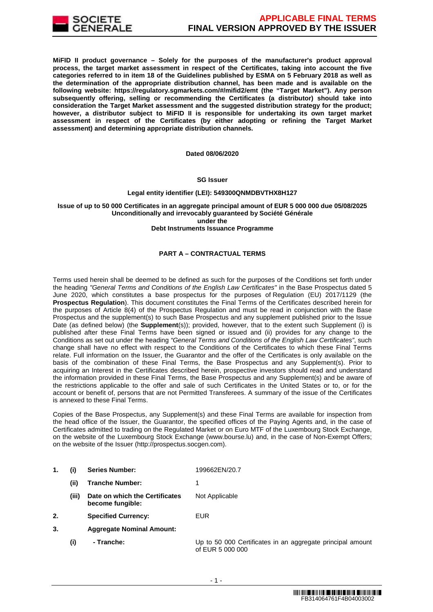

**MiFID II product governance – Solely for the purposes of the manufacturer's product approval process, the target market assessment in respect of the Certificates, taking into account the five categories referred to in item 18 of the Guidelines published by ESMA on 5 February 2018 as well as the determination of the appropriate distribution channel, has been made and is available on the following website: https://regulatory.sgmarkets.com/#/mifid2/emt (the "Target Market"). Any person subsequently offering, selling or recommending the Certificates (a distributor) should take into consideration the Target Market assessment and the suggested distribution strategy for the product; however, a distributor subject to MiFID II is responsible for undertaking its own target market assessment in respect of the Certificates (by either adopting or refining the Target Market assessment) and determining appropriate distribution channels.**

**Dated 08/06/2020**

#### **SG Issuer**

#### **Legal entity identifier (LEI): 549300QNMDBVTHX8H127**

# **Issue of up to 50 000 Certificates in an aggregate principal amount of EUR 5 000 000 due 05/08/2025 Unconditionally and irrevocably guaranteed by Société Générale under the**

## **Debt Instruments Issuance Programme**

# **PART A – CONTRACTUAL TERMS**

Terms used herein shall be deemed to be defined as such for the purposes of the Conditions set forth under the heading "General Terms and Conditions of the English Law Certificates" in the Base Prospectus dated 5 June 2020, which constitutes a base prospectus for the purposes of Regulation (EU) 2017/1129 (the **Prospectus Regulation**). This document constitutes the Final Terms of the Certificates described herein for the purposes of Article 8(4) of the Prospectus Regulation and must be read in conjunction with the Base Prospectus and the supplement(s) to such Base Prospectus and any supplement published prior to the Issue Date (as defined below) (the **Supplement**(s)); provided, however, that to the extent such Supplement (i) is published after these Final Terms have been signed or issued and (ii) provides for any change to the Conditions as set out under the heading "General Terms and Conditions of the English Law Certificates", such change shall have no effect with respect to the Conditions of the Certificates to which these Final Terms relate. Full information on the Issuer, the Guarantor and the offer of the Certificates is only available on the basis of the combination of these Final Terms, the Base Prospectus and any Supplement(s). Prior to acquiring an Interest in the Certificates described herein, prospective investors should read and understand the information provided in these Final Terms, the Base Prospectus and any Supplement(s) and be aware of the restrictions applicable to the offer and sale of such Certificates in the United States or to, or for the account or benefit of, persons that are not Permitted Transferees. A summary of the issue of the Certificates is annexed to these Final Terms.

Copies of the Base Prospectus, any Supplement(s) and these Final Terms are available for inspection from the head office of the Issuer, the Guarantor, the specified offices of the Paying Agents and, in the case of Certificates admitted to trading on the Regulated Market or on Euro MTF of the Luxembourg Stock Exchange, on the website of the Luxembourg Stock Exchange (www.bourse.lu) and, in the case of Non-Exempt Offers; on the website of the Issuer (http://prospectus.socgen.com).

- **1. (i) Series Number:** 199662EN/20.7
	- **(ii) Tranche Number:** 1
- **(iii) Date on which the Certificates become fungible:** Not Applicable
- **2. Specified Currency:** EUR
- **3. Aggregate Nominal Amount:**
	- **(i) Tranche:** Up to 50 000 Certificates in an aggregate principal amount of EUR 5 000 000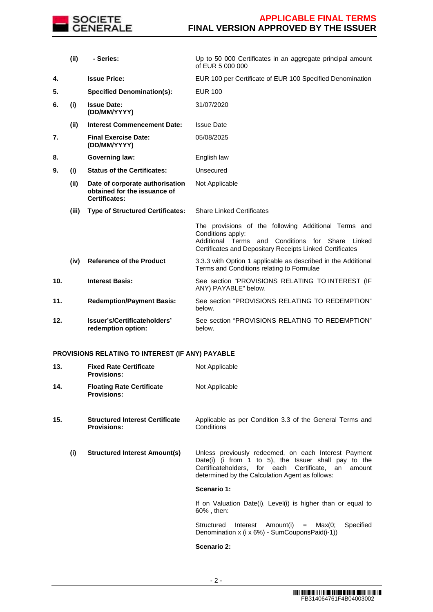

|     | (i)   | - Series:                                                                               | Up to 50 000 Certificates in an aggregate principal amount<br>of EUR 5 000 000                                                                                                                        |
|-----|-------|-----------------------------------------------------------------------------------------|-------------------------------------------------------------------------------------------------------------------------------------------------------------------------------------------------------|
| 4.  |       | <b>Issue Price:</b>                                                                     | EUR 100 per Certificate of EUR 100 Specified Denomination                                                                                                                                             |
| 5.  |       | <b>Specified Denomination(s):</b>                                                       | <b>EUR 100</b>                                                                                                                                                                                        |
| 6.  | (i)   | <b>Issue Date:</b><br>(DD/MM/YYYY)                                                      | 31/07/2020                                                                                                                                                                                            |
|     | (ii)  | <b>Interest Commencement Date:</b>                                                      | <b>Issue Date</b>                                                                                                                                                                                     |
| 7.  |       | <b>Final Exercise Date:</b><br>(DD/MM/YYYY)                                             | 05/08/2025                                                                                                                                                                                            |
| 8.  |       | <b>Governing law:</b>                                                                   | English law                                                                                                                                                                                           |
| 9.  | (i)   | <b>Status of the Certificates:</b>                                                      | Unsecured                                                                                                                                                                                             |
|     | (ii)  | Date of corporate authorisation<br>obtained for the issuance of<br><b>Certificates:</b> | Not Applicable                                                                                                                                                                                        |
|     | (iii) | <b>Type of Structured Certificates:</b>                                                 | <b>Share Linked Certificates</b>                                                                                                                                                                      |
|     |       |                                                                                         | The provisions of the following Additional Terms and<br>Conditions apply:<br>Additional Terms<br>Conditions<br>and<br>for Share<br>Linked<br>Certificates and Depositary Receipts Linked Certificates |
|     | (iv)  | <b>Reference of the Product</b>                                                         | 3.3.3 with Option 1 applicable as described in the Additional<br>Terms and Conditions relating to Formulae                                                                                            |
| 10. |       | <b>Interest Basis:</b>                                                                  | See section "PROVISIONS RELATING TO INTEREST (IF<br>ANY) PAYABLE" below.                                                                                                                              |
| 11. |       | <b>Redemption/Payment Basis:</b>                                                        | See section "PROVISIONS RELATING TO REDEMPTION"<br>below.                                                                                                                                             |
| 12. |       | Issuer's/Certificateholders'<br>redemption option:                                      | See section "PROVISIONS RELATING TO REDEMPTION"<br>below.                                                                                                                                             |

# **PROVISIONS RELATING TO INTEREST (IF ANY) PAYABLE**

| 13. |     | <b>Fixed Rate Certificate</b><br><b>Provisions:</b>          | Not Applicable                                                                                                                                                                                                            |
|-----|-----|--------------------------------------------------------------|---------------------------------------------------------------------------------------------------------------------------------------------------------------------------------------------------------------------------|
| 14. |     | <b>Floating Rate Certificate</b><br><b>Provisions:</b>       | Not Applicable                                                                                                                                                                                                            |
| 15. |     | <b>Structured Interest Certificate</b><br><b>Provisions:</b> | Applicable as per Condition 3.3 of the General Terms and<br>Conditions                                                                                                                                                    |
|     | (i) | <b>Structured Interest Amount(s)</b>                         | Unless previously redeemed, on each Interest Payment<br>Date(i) (i from 1 to 5), the Issuer shall pay to the<br>Certificateholders, for each Certificate, an<br>amount<br>determined by the Calculation Agent as follows: |
|     |     |                                                              | Scenario 1:                                                                                                                                                                                                               |
|     |     |                                                              | If on Valuation Date(i), Level(i) is higher than or equal to<br>60%, then:                                                                                                                                                |
|     |     |                                                              | Amount(i)<br>Specified<br>Structured<br>Interest<br>Max(0;<br>$=$<br>Denomination x (i x 6%) - SumCouponsPaid(i-1))                                                                                                       |
|     |     |                                                              | Scenario 2:                                                                                                                                                                                                               |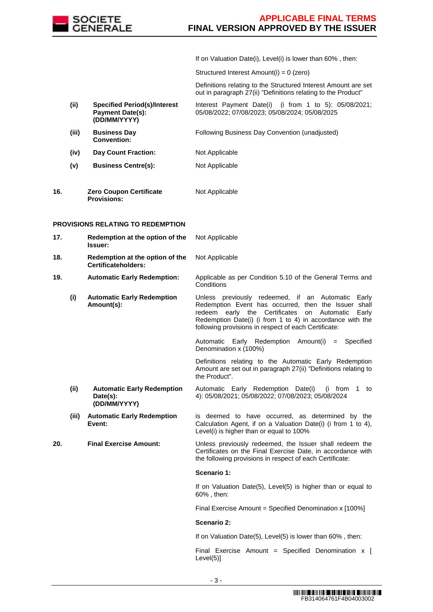

If on Valuation Date(i), Level(i) is lower than 60% , then:

Structured Interest Amount(i) = 0 (zero)

 Definitions relating to the Structured Interest Amount are set out in paragraph 27(ii) "Definitions relating to the Product"

- **(ii) Specified Period(s)/Interest Payment Date(s): (DD/MM/YYYY)** Interest Payment Date(i) (i from 1 to 5): 05/08/2021; 05/08/2022; 07/08/2023; 05/08/2024; 05/08/2025 **(iii) Business Day**  Following Business Day Convention (unadjusted)
- **Convention:**
- **(iv) Day Count Fraction:** Not Applicable
- **(v) Business Centre(s):** Not Applicable
- **16. Zero Coupon Certificate Provisions:** Not Applicable

## **PROVISIONS RELATING TO REDEMPTION**

| 17. |       | Redemption at the option of the<br>Issuer:                    | Not Applicable                                                                                                                                                                                                                                                                              |  |  |
|-----|-------|---------------------------------------------------------------|---------------------------------------------------------------------------------------------------------------------------------------------------------------------------------------------------------------------------------------------------------------------------------------------|--|--|
| 18. |       | Redemption at the option of the<br><b>Certificateholders:</b> | Not Applicable                                                                                                                                                                                                                                                                              |  |  |
| 19. |       | <b>Automatic Early Redemption:</b>                            | Applicable as per Condition 5.10 of the General Terms and<br>Conditions                                                                                                                                                                                                                     |  |  |
|     | (i)   | <b>Automatic Early Redemption</b><br>Amount(s):               | Unless previously redeemed, if an Automatic Early<br>Redemption Event has occurred, then the Issuer shall<br>redeem early the Certificates<br>on<br>Automatic<br>Earlv<br>Redemption Date(i) (i from 1 to 4) in accordance with the<br>following provisions in respect of each Certificate: |  |  |
|     |       |                                                               | Automatic Early Redemption Amount(i) = Specified<br>Denomination x (100%)                                                                                                                                                                                                                   |  |  |
|     |       |                                                               | Definitions relating to the Automatic Early Redemption<br>Amount are set out in paragraph 27(ii) "Definitions relating to<br>the Product".                                                                                                                                                  |  |  |
|     | (ii)  | <b>Automatic Early Redemption</b><br>Date(s):<br>(DD/MM/YYYY) | Automatic Early Redemption Date(i)<br>(i from 1 to<br>4): 05/08/2021; 05/08/2022; 07/08/2023; 05/08/2024                                                                                                                                                                                    |  |  |
|     | (iii) | <b>Automatic Early Redemption</b><br>Event:                   | is deemed to have occurred, as determined by the<br>Calculation Agent, if on a Valuation Date(i) (i from 1 to 4),<br>Level(i) is higher than or equal to 100%                                                                                                                               |  |  |
| 20. |       | <b>Final Exercise Amount:</b>                                 | Unless previously redeemed, the Issuer shall redeem the<br>Certificates on the Final Exercise Date, in accordance with<br>the following provisions in respect of each Certificate:                                                                                                          |  |  |
|     |       |                                                               | <b>Scenario 1:</b>                                                                                                                                                                                                                                                                          |  |  |
|     |       |                                                               | If on Valuation Date(5), Level(5) is higher than or equal to<br>60%, then:                                                                                                                                                                                                                  |  |  |
|     |       |                                                               | Final Exercise Amount = Specified Denomination x [100%]                                                                                                                                                                                                                                     |  |  |
|     |       |                                                               | <b>Scenario 2:</b>                                                                                                                                                                                                                                                                          |  |  |
|     |       |                                                               | If on Valuation Date(5), Level(5) is lower than 60%, then:                                                                                                                                                                                                                                  |  |  |
|     |       |                                                               | Final Evergiac Amount Conseiling Departmention v. I                                                                                                                                                                                                                                         |  |  |

Final Exercise Amount = Specified Denomination  $x$  [ Level(5)]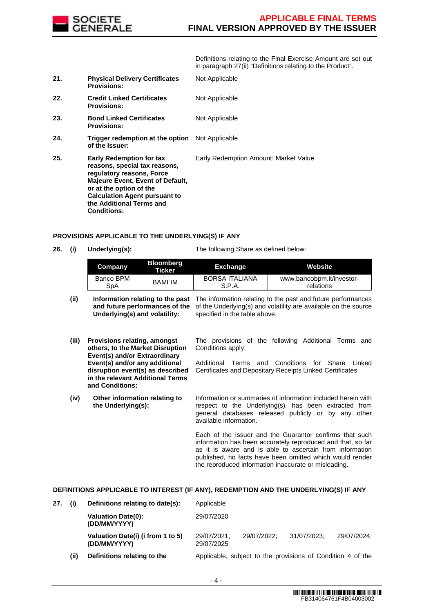

 Definitions relating to the Final Exercise Amount are set out in paragraph 27(ii) "Definitions relating to the Product".

| 21. | <b>Physical Delivery Certificates</b><br><b>Provisions:</b>                                                                                                                                                                                                   | Not Applicable                        |
|-----|---------------------------------------------------------------------------------------------------------------------------------------------------------------------------------------------------------------------------------------------------------------|---------------------------------------|
| 22. | <b>Credit Linked Certificates</b><br><b>Provisions:</b>                                                                                                                                                                                                       | Not Applicable                        |
| 23. | <b>Bond Linked Certificates</b><br><b>Provisions:</b>                                                                                                                                                                                                         | Not Applicable                        |
| 24. | <b>Trigger redemption at the option</b> Not Applicable<br>of the Issuer:                                                                                                                                                                                      |                                       |
| 25. | <b>Early Redemption for tax</b><br>reasons, special tax reasons,<br>regulatory reasons, Force<br><b>Majeure Event, Event of Default,</b><br>or at the option of the<br><b>Calculation Agent pursuant to</b><br>the Additional Terms and<br><b>Conditions:</b> | Early Redemption Amount: Market Value |

# **PROVISIONS APPLICABLE TO THE UNDERLYING(S) IF ANY**

**26. (i) Underlying(s):** The following Share as defined below:

| <b>Company</b> | <b>Bloomberg</b><br><b>Ticker</b> | Exchange       | Website                   |
|----------------|-----------------------------------|----------------|---------------------------|
| Banco BPM      | BAMI IM                           | BORSA ITALIANA | www.bancobpm.it/investor- |
| SpA            |                                   | S.P.A.         | relations                 |

| (ii)  | Information relating to the past<br>and future performances of the<br>Underlying(s) and volatility:                       | The information relating to the past and future performances<br>of the Underlying(s) and volatility are available on the source<br>specified in the table above.                                                                                                                                       |
|-------|---------------------------------------------------------------------------------------------------------------------------|--------------------------------------------------------------------------------------------------------------------------------------------------------------------------------------------------------------------------------------------------------------------------------------------------------|
| (iii) | Provisions relating, amongst<br>others, to the Market Disruption<br>Event(s) and/or Extraordinary                         | The provisions of the following Additional Terms and<br>Conditions apply:                                                                                                                                                                                                                              |
|       | Event(s) and/or any additional<br>disruption event(s) as described<br>in the relevant Additional Terms<br>and Conditions: | and Conditions for Share<br>Terms<br>Linked<br>Additional<br>Certificates and Depositary Receipts Linked Certificates                                                                                                                                                                                  |
| (iv)  | Other information relating to<br>the Underlying(s):                                                                       | Information or summaries of information included herein with<br>respect to the Underlying(s), has been extracted from<br>general databases released publicly or by any other<br>available information.                                                                                                 |
|       |                                                                                                                           | Each of the Issuer and the Guarantor confirms that such<br>information has been accurately reproduced and that, so far<br>as it is aware and is able to ascertain from information<br>published, no facts have been omitted which would render<br>the reproduced information inaccurate or misleading. |

# **DEFINITIONS APPLICABLE TO INTEREST (IF ANY), REDEMPTION AND THE UNDERLYING(S) IF ANY**

| 27.<br>(i) | Definitions relating to date(s):                  | Applicable                |                                                             |             |             |
|------------|---------------------------------------------------|---------------------------|-------------------------------------------------------------|-------------|-------------|
|            | <b>Valuation Date(0):</b><br>(DD/MM/YYYY)         | 29/07/2020                |                                                             |             |             |
|            | Valuation Date(i) (i from 1 to 5)<br>(DD/MM/YYYY) | 29/07/2021;<br>29/07/2025 | 29/07/2022:                                                 | 31/07/2023: | 29/07/2024; |
| (ii)       | Definitions relating to the                       |                           | Applicable, subject to the provisions of Condition 4 of the |             |             |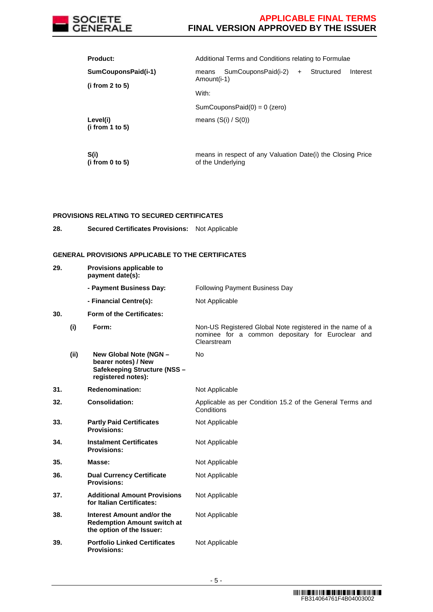

| Product:                     | Additional Terms and Conditions relating to Formulae                             |
|------------------------------|----------------------------------------------------------------------------------|
| SumCouponsPaid(i-1)          | SumCouponsPaid(i-2)<br>Structured<br>Interest<br>$+$<br>means<br>Amount(i-1)     |
| (i from 2 to 5)              | With:                                                                            |
|                              | SumCouponsPaid $(0) = 0$ (zero)                                                  |
| Level(i)<br>(i from 1 to 5)  | means $(S(i) / S(0))$                                                            |
| S(i)<br>(i from $0$ to $5$ ) | means in respect of any Valuation Date(i) the Closing Price<br>of the Underlying |

# **PROVISIONS RELATING TO SECURED CERTIFICATES**

**28. Secured Certificates Provisions:** Not Applicable

# **GENERAL PROVISIONS APPLICABLE TO THE CERTIFICATES**

| 29. |      | Provisions applicable to<br>payment date(s):                                                        |                                                                                                                               |
|-----|------|-----------------------------------------------------------------------------------------------------|-------------------------------------------------------------------------------------------------------------------------------|
|     |      | - Payment Business Day:                                                                             | <b>Following Payment Business Day</b>                                                                                         |
|     |      | - Financial Centre(s):                                                                              | Not Applicable                                                                                                                |
| 30. |      | Form of the Certificates:                                                                           |                                                                                                                               |
|     | (i)  | Form:                                                                                               | Non-US Registered Global Note registered in the name of a<br>nominee for a common depositary for Euroclear and<br>Clearstream |
|     | (ii) | New Global Note (NGN -<br>bearer notes) / New<br>Safekeeping Structure (NSS -<br>registered notes): | No                                                                                                                            |
| 31. |      | <b>Redenomination:</b>                                                                              | Not Applicable                                                                                                                |
| 32. |      | <b>Consolidation:</b>                                                                               | Applicable as per Condition 15.2 of the General Terms and<br>Conditions                                                       |
| 33. |      | <b>Partly Paid Certificates</b><br><b>Provisions:</b>                                               | Not Applicable                                                                                                                |
| 34. |      | <b>Instalment Certificates</b><br><b>Provisions:</b>                                                | Not Applicable                                                                                                                |
| 35. |      | Masse:                                                                                              | Not Applicable                                                                                                                |
| 36. |      | <b>Dual Currency Certificate</b><br><b>Provisions:</b>                                              | Not Applicable                                                                                                                |
| 37. |      | <b>Additional Amount Provisions</b><br>for Italian Certificates:                                    | Not Applicable                                                                                                                |
| 38. |      | Interest Amount and/or the<br><b>Redemption Amount switch at</b><br>the option of the Issuer:       | Not Applicable                                                                                                                |
| 39. |      | <b>Portfolio Linked Certificates</b><br><b>Provisions:</b>                                          | Not Applicable                                                                                                                |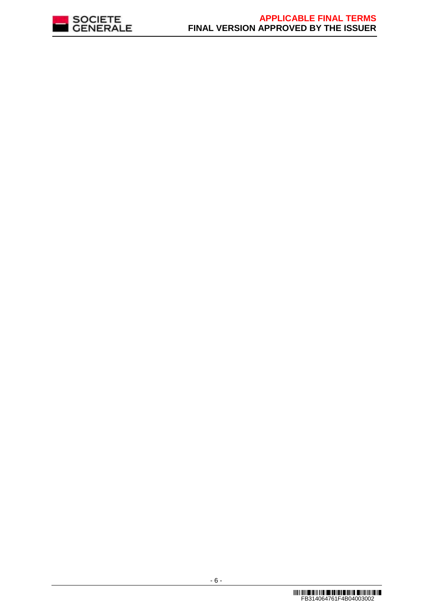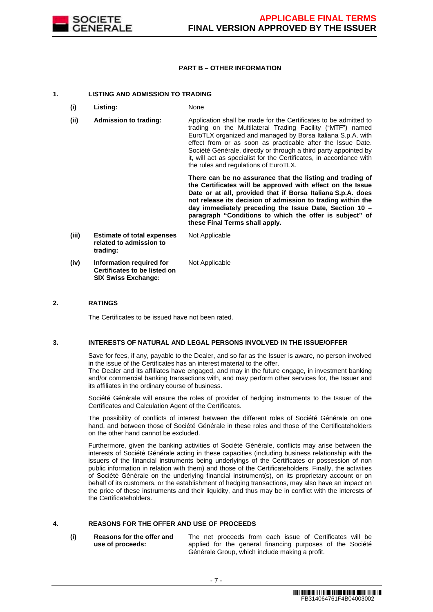

# **PART B – OTHER INFORMATION**

## **1. LISTING AND ADMISSION TO TRADING**

- **(i) Listing:** None
- **(ii) Admission to trading:** Application shall be made for the Certificates to be admitted to trading on the Multilateral Trading Facility ("MTF") named EuroTLX organized and managed by Borsa Italiana S.p.A. with effect from or as soon as practicable after the Issue Date. Société Générale, directly or through a third party appointed by it, will act as specialist for the Certificates, in accordance with the rules and regulations of EuroTLX.

 **There can be no assurance that the listing and trading of the Certificates will be approved with effect on the Issue Date or at all, provided that if Borsa Italiana S.p.A. does not release its decision of admission to trading within the day immediately preceding the Issue Date, Section 10 – paragraph "Conditions to which the offer is subject" of these Final Terms shall apply.**

**(iii) Estimate of total expenses related to admission to trading:** Not Applicable **(iv) Information required for Certificates to be listed on SIX Swiss Exchange:** Not Applicable

# **2. RATINGS**

The Certificates to be issued have not been rated.

#### **3. INTERESTS OF NATURAL AND LEGAL PERSONS INVOLVED IN THE ISSUE/OFFER**

 Save for fees, if any, payable to the Dealer, and so far as the Issuer is aware, no person involved in the issue of the Certificates has an interest material to the offer.

The Dealer and its affiliates have engaged, and may in the future engage, in investment banking and/or commercial banking transactions with, and may perform other services for, the Issuer and its affiliates in the ordinary course of business.

 Société Générale will ensure the roles of provider of hedging instruments to the Issuer of the Certificates and Calculation Agent of the Certificates.

 The possibility of conflicts of interest between the different roles of Société Générale on one hand, and between those of Société Générale in these roles and those of the Certificateholders on the other hand cannot be excluded.

 Furthermore, given the banking activities of Société Générale, conflicts may arise between the interests of Société Générale acting in these capacities (including business relationship with the issuers of the financial instruments being underlyings of the Certificates or possession of non public information in relation with them) and those of the Certificateholders. Finally, the activities of Société Générale on the underlying financial instrument(s), on its proprietary account or on behalf of its customers, or the establishment of hedging transactions, may also have an impact on the price of these instruments and their liquidity, and thus may be in conflict with the interests of the Certificateholders.

# **4. REASONS FOR THE OFFER AND USE OF PROCEEDS**

**(i) Reasons for the offer and use of proceeds:**

The net proceeds from each issue of Certificates will be applied for the general financing purposes of the Société Générale Group, which include making a profit.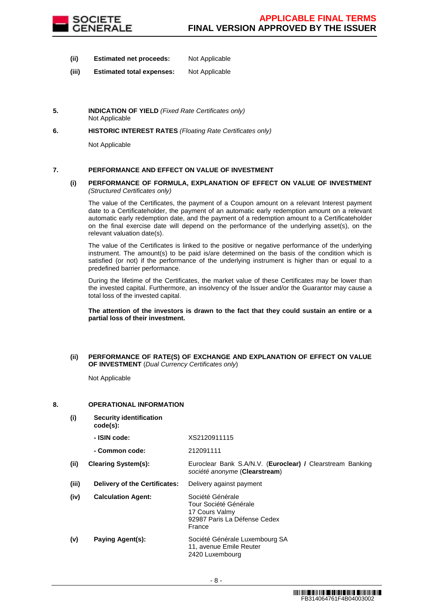

- **(ii) Estimated net proceeds:** Not Applicable
- **(iii) Estimated total expenses:** Not Applicable
- **5. INDICATION OF YIELD** (Fixed Rate Certificates only) Not Applicable
- **6. HISTORIC INTEREST RATES** (Floating Rate Certificates only)

Not Applicable

# **7. PERFORMANCE AND EFFECT ON VALUE OF INVESTMENT**

## **(i) PERFORMANCE OF FORMULA, EXPLANATION OF EFFECT ON VALUE OF INVESTMENT**  (Structured Certificates only)

 The value of the Certificates, the payment of a Coupon amount on a relevant Interest payment date to a Certificateholder, the payment of an automatic early redemption amount on a relevant automatic early redemption date, and the payment of a redemption amount to a Certificateholder on the final exercise date will depend on the performance of the underlying asset(s), on the relevant valuation date(s).

 The value of the Certificates is linked to the positive or negative performance of the underlying instrument. The amount(s) to be paid is/are determined on the basis of the condition which is satisfied (or not) if the performance of the underlying instrument is higher than or equal to a predefined barrier performance.

 During the lifetime of the Certificates, the market value of these Certificates may be lower than the invested capital. Furthermore, an insolvency of the Issuer and/or the Guarantor may cause a total loss of the invested capital.

**The attention of the investors is drawn to the fact that they could sustain an entire or a partial loss of their investment.**

## **(ii) PERFORMANCE OF RATE(S) OF EXCHANGE AND EXPLANATION OF EFFECT ON VALUE OF INVESTMENT** (Dual Currency Certificates only)

Not Applicable

# **8. OPERATIONAL INFORMATION**

**(i) Security identification code(s): - ISIN code:** XS2120911115 **- Common code:** 212091111 **(ii) Clearing System(s):** Euroclear Bank S.A/N.V. (**Euroclear) /** Clearstream Banking société anonyme (**Clearstream**) **(iii) Delivery of the Certificates:** Delivery against payment **(iv) Calculation Agent:** Société Générale Tour Société Générale 17 Cours Valmy 92987 Paris La Défense Cedex France **(v) Paying Agent(s):** Société Générale Luxembourg SA 11, avenue Emile Reuter 2420 Luxembourg

- 8 -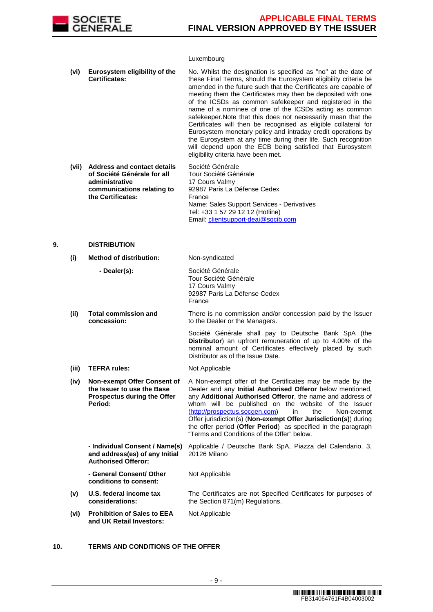

## Luxembourg

| (vi)  | Eurosystem eligibility of the<br><b>Certificates:</b>                                                                                  | No. Whilst the designation is specified as "no" at the date of<br>these Final Terms, should the Eurosystem eligibility criteria be<br>amended in the future such that the Certificates are capable of<br>meeting them the Certificates may then be deposited with one<br>of the ICSDs as common safekeeper and registered in the<br>name of a nominee of one of the ICSDs acting as common<br>safekeeper. Note that this does not necessarily mean that the<br>Certificates will then be recognised as eligible collateral for<br>Eurosystem monetary policy and intraday credit operations by<br>the Eurosystem at any time during their life. Such recognition<br>will depend upon the ECB being satisfied that Eurosystem<br>eligibility criteria have been met. |
|-------|----------------------------------------------------------------------------------------------------------------------------------------|---------------------------------------------------------------------------------------------------------------------------------------------------------------------------------------------------------------------------------------------------------------------------------------------------------------------------------------------------------------------------------------------------------------------------------------------------------------------------------------------------------------------------------------------------------------------------------------------------------------------------------------------------------------------------------------------------------------------------------------------------------------------|
| (vii) | <b>Address and contact details</b><br>of Société Générale for all<br>administrative<br>communications relating to<br>the Certificates: | Société Générale<br>Tour Société Générale<br>17 Cours Valmy<br>92987 Paris La Défense Cedex<br>France<br>Name: Sales Support Services - Derivatives<br>Tel: +33 1 57 29 12 12 (Hotline)                                                                                                                                                                                                                                                                                                                                                                                                                                                                                                                                                                             |

Email: clientsupport-deai@sgcib.com

#### **9. DISTRIBUTION**

# **(i) Method of distribution:** Non-syndicated

|       | - Dealer(s):                                                                                                      | Société Générale<br>Tour Société Générale<br>17 Cours Valmy<br>92987 Paris La Défense Cedex<br>France                                                                                                                                                                                                                                                                                                                                                                                       |
|-------|-------------------------------------------------------------------------------------------------------------------|---------------------------------------------------------------------------------------------------------------------------------------------------------------------------------------------------------------------------------------------------------------------------------------------------------------------------------------------------------------------------------------------------------------------------------------------------------------------------------------------|
| (ii)  | <b>Total commission and</b><br>concession:                                                                        | There is no commission and/or concession paid by the Issuer<br>to the Dealer or the Managers.                                                                                                                                                                                                                                                                                                                                                                                               |
|       |                                                                                                                   | Société Générale shall pay to Deutsche Bank SpA (the<br>Distributor) an upfront remuneration of up to 4.00% of the<br>nominal amount of Certificates effectively placed by such<br>Distributor as of the Issue Date.                                                                                                                                                                                                                                                                        |
| (iii) | <b>TEFRA rules:</b>                                                                                               | Not Applicable                                                                                                                                                                                                                                                                                                                                                                                                                                                                              |
| (iv)  | <b>Non-exempt Offer Consent of</b><br>the Issuer to use the Base<br><b>Prospectus during the Offer</b><br>Period: | A Non-exempt offer of the Certificates may be made by the<br>Dealer and any Initial Authorised Offeror below mentioned,<br>any Additional Authorised Offeror, the name and address of<br>whom will be published on the website of the Issuer<br>(http://prospectus.socgen.com)<br>the<br>in<br>Non-exempt<br>Offer jurisdiction(s) (Non-exempt Offer Jurisdiction(s)) during<br>the offer period (Offer Period) as specified in the paragraph<br>"Terms and Conditions of the Offer" below. |
|       | - Individual Consent / Name(s)<br>and address(es) of any Initial<br><b>Authorised Offeror:</b>                    | Applicable / Deutsche Bank SpA, Piazza del Calendario, 3,<br>20126 Milano                                                                                                                                                                                                                                                                                                                                                                                                                   |
|       | - General Consent/ Other<br>conditions to consent:                                                                | Not Applicable                                                                                                                                                                                                                                                                                                                                                                                                                                                                              |
| (v)   | U.S. federal income tax<br>considerations:                                                                        | The Certificates are not Specified Certificates for purposes of<br>the Section 871(m) Regulations.                                                                                                                                                                                                                                                                                                                                                                                          |
| (vi)  | <b>Prohibition of Sales to EEA</b><br>and UK Retail Investors:                                                    | Not Applicable                                                                                                                                                                                                                                                                                                                                                                                                                                                                              |

# **10. TERMS AND CONDITIONS OF THE OFFER**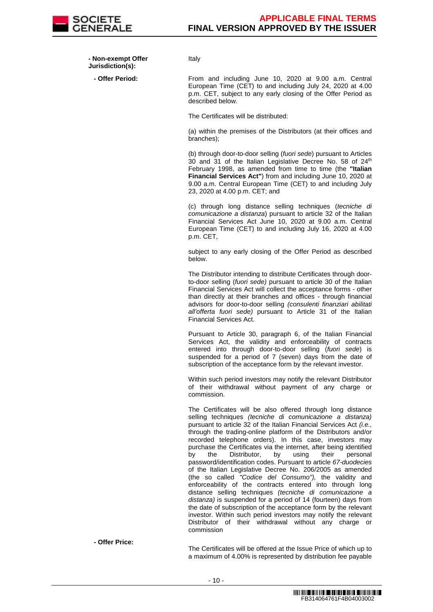

 **- Non-exempt Offer Jurisdiction(s):**

Italy

 **- Offer Period:** From and including June 10, 2020 at 9.00 a.m. Central European Time (CET) to and including July 24, 2020 at 4.00 p.m. CET, subject to any early closing of the Offer Period as described below.

The Certificates will be distributed:

(a) within the premises of the Distributors (at their offices and branches);

(b) through door-to-door selling (fuori sede) pursuant to Articles 30 and 31 of the Italian Legislative Decree No. 58 of 24<sup>th</sup> February 1998, as amended from time to time (the **"Italian Financial Services Act"**) from and including June 10, 2020 at 9.00 a.m. Central European Time (CET) to and including July 23, 2020 at 4.00 p.m. CET; and

(c) through long distance selling techniques (tecniche di comunicazione a distanza) pursuant to article 32 of the Italian Financial Services Act June 10, 2020 at 9.00 a.m. Central European Time (CET) to and including July 16, 2020 at 4.00 p.m. CET,

subject to any early closing of the Offer Period as described below.

The Distributor intending to distribute Certificates through doorto-door selling (fuori sede) pursuant to article 30 of the Italian Financial Services Act will collect the acceptance forms - other than directly at their branches and offices - through financial advisors for door-to-door selling (consulenti finanziari abilitati all'offerta fuori sede) pursuant to Article 31 of the Italian Financial Services Act.

Pursuant to Article 30, paragraph 6, of the Italian Financial Services Act, the validity and enforceability of contracts entered into through door-to-door selling (fuori sede) is suspended for a period of 7 (seven) days from the date of subscription of the acceptance form by the relevant investor.

Within such period investors may notify the relevant Distributor of their withdrawal without payment of any charge or commission.

The Certificates will be also offered through long distance selling techniques (tecniche di comunicazione a distanza) pursuant to article 32 of the Italian Financial Services Act (i.e., through the trading-online platform of the Distributors and/or recorded telephone orders). In this case, investors may purchase the Certificates via the internet, after being identified by the Distributor, by using their personal password/identification codes. Pursuant to article 67-duodecies of the Italian Legislative Decree No. 206/2005 as amended (the so called "Codice del Consumo"), the validity and enforceability of the contracts entered into through long distance selling techniques (tecniche di comunicazione a distanza) is suspended for a period of 14 (fourteen) days from the date of subscription of the acceptance form by the relevant investor. Within such period investors may notify the relevant Distributor of their withdrawal without any charge or commission

**- Offer Price:**

The Certificates will be offered at the Issue Price of which up to a maximum of 4.00% is represented by distribution fee payable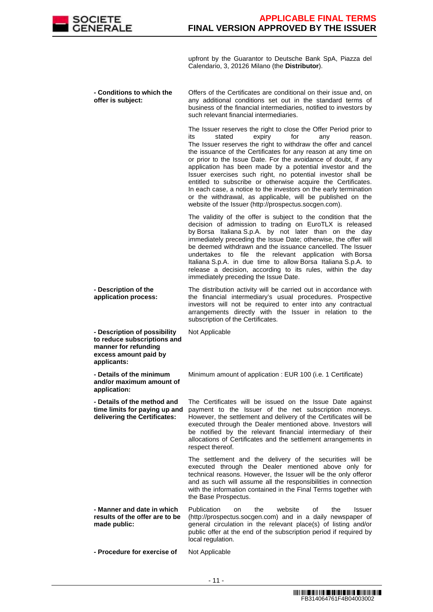

upfront by the Guarantor to Deutsche Bank SpA, Piazza del Calendario, 3, 20126 Milano (the **Distributor**).

| - Conditions to which the<br>offer is subject:                                                                              | Offers of the Certificates are conditional on their issue and, on<br>any additional conditions set out in the standard terms of<br>business of the financial intermediaries, notified to investors by<br>such relevant financial intermediaries.                                                                                                                                                                                                                                                                                                                                                                                                                                                                  |
|-----------------------------------------------------------------------------------------------------------------------------|-------------------------------------------------------------------------------------------------------------------------------------------------------------------------------------------------------------------------------------------------------------------------------------------------------------------------------------------------------------------------------------------------------------------------------------------------------------------------------------------------------------------------------------------------------------------------------------------------------------------------------------------------------------------------------------------------------------------|
|                                                                                                                             | The Issuer reserves the right to close the Offer Period prior to<br>stated<br>expiry<br>for<br>its<br>any<br>reason.<br>The Issuer reserves the right to withdraw the offer and cancel<br>the issuance of the Certificates for any reason at any time on<br>or prior to the Issue Date. For the avoidance of doubt, if any<br>application has been made by a potential investor and the<br>Issuer exercises such right, no potential investor shall be<br>entitled to subscribe or otherwise acquire the Certificates.<br>In each case, a notice to the investors on the early termination<br>or the withdrawal, as applicable, will be published on the<br>website of the Issuer (http://prospectus.socgen.com). |
|                                                                                                                             | The validity of the offer is subject to the condition that the<br>decision of admission to trading on EuroTLX is released<br>by Borsa Italiana S.p.A. by not later than on the day<br>immediately preceding the Issue Date; otherwise, the offer will<br>be deemed withdrawn and the issuance cancelled. The Issuer<br>undertakes to file the relevant application with Borsa<br>Italiana S.p.A. in due time to allow Borsa Italiana S.p.A. to<br>release a decision, according to its rules, within the day<br>immediately preceding the Issue Date.                                                                                                                                                             |
| - Description of the<br>application process:                                                                                | The distribution activity will be carried out in accordance with<br>the financial intermediary's usual procedures. Prospective<br>investors will not be required to enter into any contractual<br>arrangements directly with the Issuer in relation to the<br>subscription of the Certificates.                                                                                                                                                                                                                                                                                                                                                                                                                   |
| - Description of possibility<br>to reduce subscriptions and<br>manner for refunding<br>excess amount paid by<br>applicants: | Not Applicable                                                                                                                                                                                                                                                                                                                                                                                                                                                                                                                                                                                                                                                                                                    |
| - Details of the minimum<br>and/or maximum amount of<br>application:                                                        | Minimum amount of application : EUR 100 (i.e. 1 Certificate)                                                                                                                                                                                                                                                                                                                                                                                                                                                                                                                                                                                                                                                      |
| - Details of the method and<br>delivering the Certificates:                                                                 | The Certificates will be issued on the Issue Date against<br>time limits for paying up and payment to the Issuer of the net subscription moneys.<br>However, the settlement and delivery of the Certificates will be<br>executed through the Dealer mentioned above. Investors will<br>be notified by the relevant financial intermediary of their<br>allocations of Certificates and the settlement arrangements in<br>respect thereof.                                                                                                                                                                                                                                                                          |
|                                                                                                                             | The settlement and the delivery of the securities will be<br>executed through the Dealer mentioned above only for<br>technical reasons. However, the Issuer will be the only offeror<br>and as such will assume all the responsibilities in connection<br>with the information contained in the Final Terms together with<br>the Base Prospectus.                                                                                                                                                                                                                                                                                                                                                                 |
| - Manner and date in which<br>results of the offer are to be<br>made public:                                                | Publication<br>website<br>the<br>the<br>Issuer<br>on<br>οf<br>(http://prospectus.socgen.com) and in a daily newspaper of<br>general circulation in the relevant place(s) of listing and/or<br>public offer at the end of the subscription period if required by<br>local regulation.                                                                                                                                                                                                                                                                                                                                                                                                                              |
| - Procedure for exercise of                                                                                                 | Not Applicable                                                                                                                                                                                                                                                                                                                                                                                                                                                                                                                                                                                                                                                                                                    |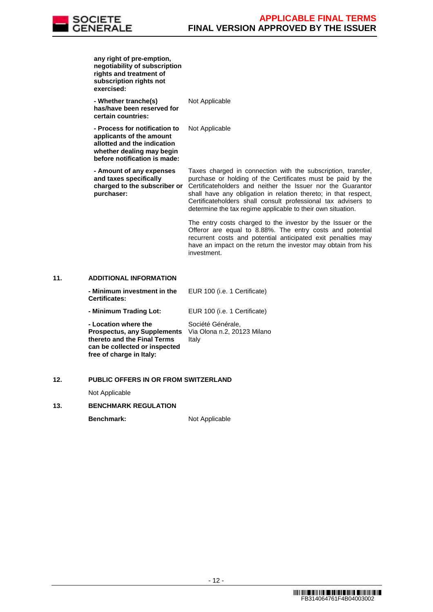

| any right of pre-emption,<br>negotiability of subscription<br>rights and treatment of<br>subscription rights not<br>exercised:                        |                                                                                                                                                                                                                                                                                                                                                                                               |
|-------------------------------------------------------------------------------------------------------------------------------------------------------|-----------------------------------------------------------------------------------------------------------------------------------------------------------------------------------------------------------------------------------------------------------------------------------------------------------------------------------------------------------------------------------------------|
| - Whether tranche(s)<br>has/have been reserved for<br>certain countries:                                                                              | Not Applicable                                                                                                                                                                                                                                                                                                                                                                                |
| - Process for notification to<br>applicants of the amount<br>allotted and the indication<br>whether dealing may begin<br>before notification is made: | Not Applicable                                                                                                                                                                                                                                                                                                                                                                                |
| - Amount of any expenses<br>and taxes specifically<br>charged to the subscriber or<br>purchaser:                                                      | Taxes charged in connection with the subscription, transfer,<br>purchase or holding of the Certificates must be paid by the<br>Certificateholders and neither the Issuer nor the Guarantor<br>shall have any obligation in relation thereto; in that respect,<br>Certificateholders shall consult professional tax advisers to<br>determine the tax regime applicable to their own situation. |
|                                                                                                                                                       | The entry costs charged to the investor by the Issuer or the<br>Offeror are equal to 8.88%. The entry costs and potential<br>recurrent costs and potential anticipated exit penalties may<br>have an impact on the return the investor may obtain from his<br>investment.                                                                                                                     |

# **11. ADDITIONAL INFORMATION**

| - Minimum investment in the<br><b>Certificates:</b>                                                                        | EUR 100 (i.e. 1 Certificate)                              |
|----------------------------------------------------------------------------------------------------------------------------|-----------------------------------------------------------|
| - Minimum Trading Lot:                                                                                                     | EUR 100 (i.e. 1 Certificate)                              |
| - Location where the<br><b>Prospectus, any Supplements</b><br>thereto and the Final Terms<br>can be collected or inspected | Société Générale,<br>Via Olona n.2, 20123 Milano<br>Italy |

# **12. PUBLIC OFFERS IN OR FROM SWITZERLAND**

Not Applicable

## **13. BENCHMARK REGULATION**

**free of charge in Italy:**

Benchmark: Not Applicable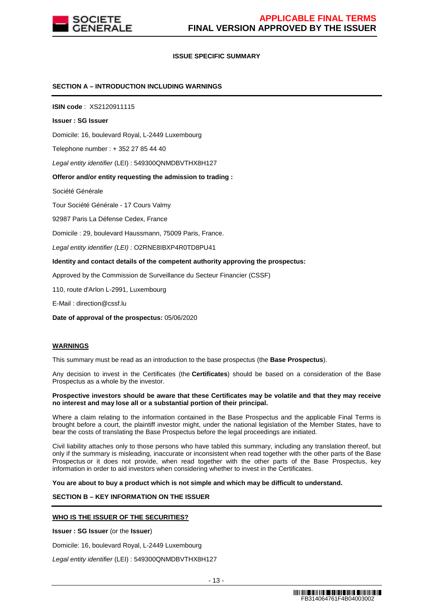

# **ISSUE SPECIFIC SUMMARY**

## **SECTION A – INTRODUCTION INCLUDING WARNINGS**

**ISIN code** : XS2120911115

#### **Issuer : SG Issuer**

Domicile: 16, boulevard Royal, L-2449 Luxembourg

Telephone number : + 352 27 85 44 40

Legal entity identifier (LEI) : 549300QNMDBVTHX8H127

#### **Offeror and/or entity requesting the admission to trading :**

Société Générale

Tour Société Générale - 17 Cours Valmy

92987 Paris La Défense Cedex, France

Domicile : 29, boulevard Haussmann, 75009 Paris, France.

Legal entity identifier (LEI) : O2RNE8IBXP4R0TD8PU41

#### **Identity and contact details of the competent authority approving the prospectus:**

Approved by the Commission de Surveillance du Secteur Financier (CSSF)

110, route d'Arlon L-2991, Luxembourg

E-Mail : direction@cssf.lu

**Date of approval of the prospectus:** 05/06/2020

#### **WARNINGS**

This summary must be read as an introduction to the base prospectus (the **Base Prospectus**).

Any decision to invest in the Certificates (the **Certificates**) should be based on a consideration of the Base Prospectus as a whole by the investor.

#### **Prospective investors should be aware that these Certificates may be volatile and that they may receive no interest and may lose all or a substantial portion of their principal.**

Where a claim relating to the information contained in the Base Prospectus and the applicable Final Terms is brought before a court, the plaintiff investor might, under the national legislation of the Member States, have to bear the costs of translating the Base Prospectus before the legal proceedings are initiated.

Civil liability attaches only to those persons who have tabled this summary, including any translation thereof, but only if the summary is misleading, inaccurate or inconsistent when read together with the other parts of the Base Prospectus or it does not provide, when read together with the other parts of the Base Prospectus, key information in order to aid investors when considering whether to invest in the Certificates.

**You are about to buy a product which is not simple and which may be difficult to understand.**

# **SECTION B – KEY INFORMATION ON THE ISSUER**

## **WHO IS THE ISSUER OF THE SECURITIES?**

**Issuer : SG Issuer** (or the **Issuer**)

Domicile: 16, boulevard Royal, L-2449 Luxembourg

Legal entity identifier (LEI) : 549300QNMDBVTHX8H127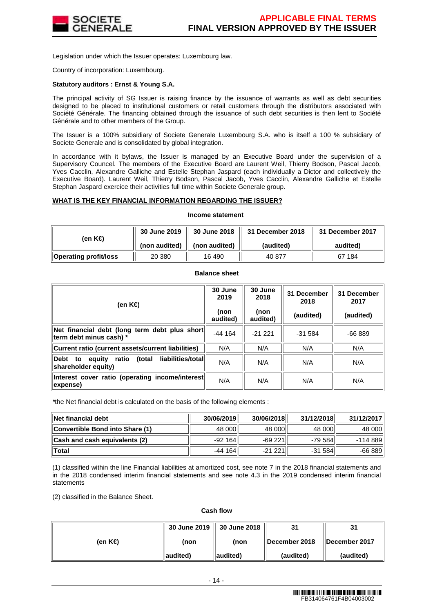

Legislation under which the Issuer operates: Luxembourg law.

Country of incorporation: Luxembourg.

# **Statutory auditors : Ernst & Young S.A.**

The principal activity of SG Issuer is raising finance by the issuance of warrants as well as debt securities designed to be placed to institutional customers or retail customers through the distributors associated with Société Générale. The financing obtained through the issuance of such debt securities is then lent to Société Générale and to other members of the Group.

The Issuer is a 100% subsidiary of Societe Generale Luxembourg S.A. who is itself a 100 % subsidiary of Societe Generale and is consolidated by global integration.

In accordance with it bylaws, the Issuer is managed by an Executive Board under the supervision of a Supervisory Councel. The members of the Executive Board are Laurent Weil, Thierry Bodson, Pascal Jacob, Yves Cacclin, Alexandre Galliche and Estelle Stephan Jaspard (each individually a Dictor and collectively the Executive Board). Laurent Weil, Thierry Bodson, Pascal Jacob, Yves Cacclin, Alexandre Galliche et Estelle Stephan Jaspard exercice their activities full time within Societe Generale group.

## **WHAT IS THE KEY FINANCIAL INFORMATION REGARDING THE ISSUER?**

#### **Income statement**

| (en K€)               | 30 June 2019  | 30 June 2018  | 31 December 2018 | 31 December 2017 |  |
|-----------------------|---------------|---------------|------------------|------------------|--|
|                       | (non audited) | (non audited) | (audited)        | audited)         |  |
| Operating profit/loss | 20 380        | 16 490        | 40 877           | 67 184           |  |

# **Balance sheet**

| (en K€)                                                                          | 30 June<br>2019<br>(non<br>audited) | 30 June<br>2018<br>(non<br>audited) | 31 December<br>2018<br>(audited) | 31 December<br>2017<br>(audited) |
|----------------------------------------------------------------------------------|-------------------------------------|-------------------------------------|----------------------------------|----------------------------------|
| Net financial debt (long term debt plus short<br>term debt minus cash) *         | $-44164$                            | $-21, 221$                          | $-31.584$                        | $-66889$                         |
| Current ratio (current assets/current liabilities)                               | N/A                                 | N/A                                 | N/A                              | N/A                              |
| liabilities/total<br>Debt to<br>(total<br>equity<br>ratio<br>shareholder equity) | N/A                                 | N/A                                 | N/A                              | N/A                              |
| Interest cover ratio (operating income/interest<br>expense)                      | N/A                                 | N/A                                 | N/A                              | N/A                              |

\*the Net financial debt is calculated on the basis of the following elements :

| ∥Net financial debt             | 30/06/2019 | 30/06/2018 | 31/12/2018 | 31/12/2017 |
|---------------------------------|------------|------------|------------|------------|
| Convertible Bond into Share (1) | 48 000     | 48 000     | 48 000     | 48 000     |
| Cash and cash equivalents (2)   | $-92164$   | $-69221$   | -79 584    | -114 889   |
| $\ $ Total                      | $-44164$   | $-21221$   | $-31584$   | $-66889$   |

(1) classified within the line Financial liabilities at amortized cost, see note 7 in the 2018 financial statements and in the 2018 condensed interim financial statements and see note 4.3 in the 2019 condensed interim financial statements

(2) classified in the Balance Sheet.

**Cash flow**

|         | 30 June 2019   30 June 2018 |                   | 31                    | 31            |
|---------|-----------------------------|-------------------|-----------------------|---------------|
| (en K€) | (non                        | (non              | <b>IDecember 2018</b> | December 2017 |
|         | audited)                    | <b>∥audited</b> ) | (audited)             | (audited)     |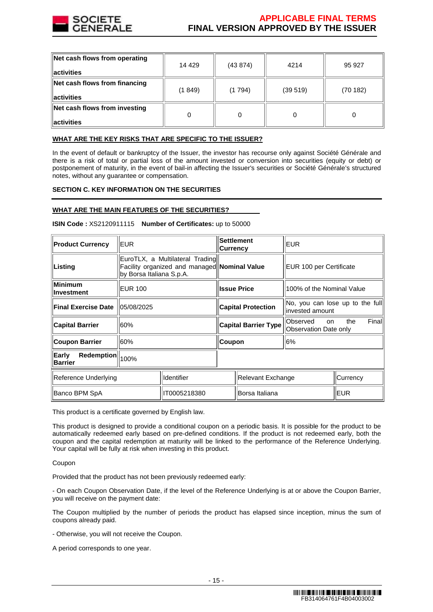

| Net cash flows from operating<br>$\parallel$ activities | 14 4 29 | (43874) | 4214    | 95 927  |
|---------------------------------------------------------|---------|---------|---------|---------|
| Net cash flows from financing<br>$\parallel$ activities | (1849)  | (1794)  | (39519) | (70182) |
| Net cash flows from investing<br>$\parallel$ activities |         | 0       |         |         |

# **WHAT ARE THE KEY RISKS THAT ARE SPECIFIC TO THE ISSUER?**

In the event of default or bankruptcy of the Issuer, the investor has recourse only against Société Générale and there is a risk of total or partial loss of the amount invested or conversion into securities (equity or debt) or postponement of maturity, in the event of bail-in affecting the Issuer's securities or Société Générale's structured notes, without any guarantee or compensation.

# **SECTION C. KEY INFORMATION ON THE SECURITIES**

## **WHAT ARE THE MAIN FEATURES OF THE SECURITIES?**

| <b>Product Currency</b>                                                                                                | EUR. |                           | <b>Settlement</b><br><b>Currency</b> |                                                    | EUR.                                           |              |
|------------------------------------------------------------------------------------------------------------------------|------|---------------------------|--------------------------------------|----------------------------------------------------|------------------------------------------------|--------------|
| EuroTLX, a Multilateral Trading<br>Facility organized and managed Nominal Value<br>Listing<br>by Borsa Italiana S.p.A. |      |                           |                                      | EUR 100 per Certificate                            |                                                |              |
| <b>Minimum</b><br><b>EUR 100</b><br><b>Investment</b>                                                                  |      | <b>Issue Price</b>        |                                      | 100% of the Nominal Value                          |                                                |              |
| <b>Final Exercise Date</b><br>05/08/2025                                                                               |      | <b>Capital Protection</b> |                                      | No, you can lose up to the full<br>invested amount |                                                |              |
| <b>Capital Barrier</b><br>60%                                                                                          |      |                           | <b>Capital Barrier Type</b>          |                                                    | Observed<br><b>on</b><br>Observation Date only | Final<br>the |
| <b>Coupon Barrier</b>                                                                                                  | 60%  |                           | Coupon                               |                                                    | 6%                                             |              |
| <b>Redemption</b><br>Early<br><b>Barrier</b>                                                                           | 100% |                           |                                      |                                                    |                                                |              |
| Reference Underlying                                                                                                   |      | Identifier                |                                      | Relevant Exchange                                  |                                                | Currency     |
| Banco BPM SpA                                                                                                          |      | IT0005218380              | Borsa Italiana                       |                                                    |                                                | <b>EUR</b>   |

**ISIN Code :** XS2120911115 **Number of Certificates:** up to 50000

This product is a certificate governed by English law.

This product is designed to provide a conditional coupon on a periodic basis. It is possible for the product to be automatically redeemed early based on pre-defined conditions. If the product is not redeemed early, both the coupon and the capital redemption at maturity will be linked to the performance of the Reference Underlying. Your capital will be fully at risk when investing in this product.

Coupon

Provided that the product has not been previously redeemed early:

- On each Coupon Observation Date, if the level of the Reference Underlying is at or above the Coupon Barrier, you will receive on the payment date:

The Coupon multiplied by the number of periods the product has elapsed since inception, minus the sum of coupons already paid.

- Otherwise, you will not receive the Coupon.

A period corresponds to one year.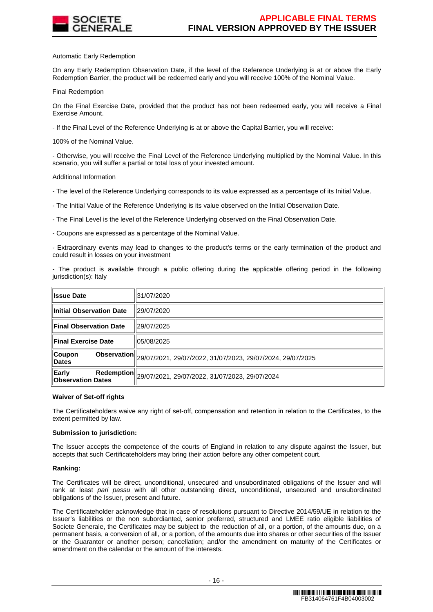

#### Automatic Early Redemption

On any Early Redemption Observation Date, if the level of the Reference Underlying is at or above the Early Redemption Barrier, the product will be redeemed early and you will receive 100% of the Nominal Value.

Final Redemption

On the Final Exercise Date, provided that the product has not been redeemed early, you will receive a Final Exercise Amount.

- If the Final Level of the Reference Underlying is at or above the Capital Barrier, you will receive:

100% of the Nominal Value.

- Otherwise, you will receive the Final Level of the Reference Underlying multiplied by the Nominal Value. In this scenario, you will suffer a partial or total loss of your invested amount.

Additional Information

- The level of the Reference Underlying corresponds to its value expressed as a percentage of its Initial Value.

- The Initial Value of the Reference Underlying is its value observed on the Initial Observation Date.

- The Final Level is the level of the Reference Underlying observed on the Final Observation Date.

- Coupons are expressed as a percentage of the Nominal Value.

- Extraordinary events may lead to changes to the product's terms or the early termination of the product and could result in losses on your investment

- The product is available through a public offering during the applicable offering period in the following jurisdiction(s): Italy

| <b>Issue Date</b>                 | 31/07/2020                                                                              |
|-----------------------------------|-----------------------------------------------------------------------------------------|
| Initial Observation Date          | 29/07/2020                                                                              |
| <b>Final Observation Date</b>     | 29/07/2025                                                                              |
| <b>Final Exercise Date</b>        | 05/08/2025                                                                              |
| <b>Coupon</b><br>Dates            | Observation 29/07/2021, 29/07/2022, 31/07/2023, 29/07/2024, 29/07/2025                  |
| Early<br><b>Observation Dates</b> | $\left.\textbf{Redemption}\right\ _{29/07/2021,\ 29/07/2022,\ 31/07/2023,\ 29/07/2024}$ |

#### **Waiver of Set-off rights**

The Certificateholders waive any right of set-off, compensation and retention in relation to the Certificates, to the extent permitted by law.

#### **Submission to jurisdiction:**

The Issuer accepts the competence of the courts of England in relation to any dispute against the Issuer, but accepts that such Certificateholders may bring their action before any other competent court.

#### **Ranking:**

The Certificates will be direct, unconditional, unsecured and unsubordinated obligations of the Issuer and will rank at least pari passu with all other outstanding direct, unconditional, unsecured and unsubordinated obligations of the Issuer, present and future.

The Certificateholder acknowledge that in case of resolutions pursuant to Directive 2014/59/UE in relation to the Issuer's liabilities or the non subordianted, senior preferred, structured and LMEE ratio eligible liabilities of Societe Generale, the Certificates may be subject to the reduction of all, or a portion, of the amounts due, on a permanent basis, a conversion of all, or a portion, of the amounts due into shares or other securities of the Issuer or the Guarantor or another person; cancellation; and/or the amendment on maturity of the Certificates or amendment on the calendar or the amount of the interests.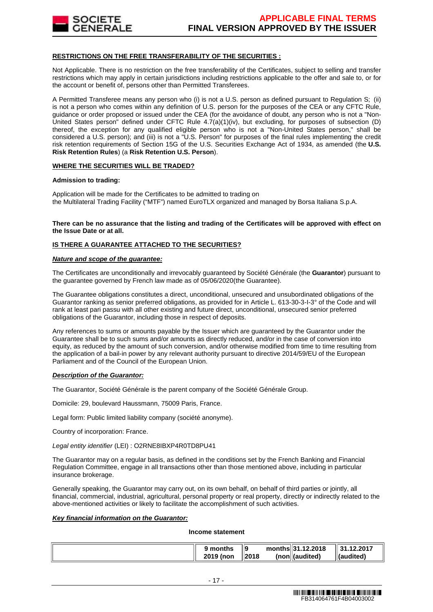

## **RESTRICTIONS ON THE FREE TRANSFERABILITY OF THE SECURITIES :**

Not Applicable. There is no restriction on the free transferability of the Certificates, subject to selling and transfer restrictions which may apply in certain jurisdictions including restrictions applicable to the offer and sale to, or for the account or benefit of, persons other than Permitted Transferees.

A Permitted Transferee means any person who (i) is not a U.S. person as defined pursuant to Regulation S; (ii) is not a person who comes within any definition of U.S. person for the purposes of the CEA or any CFTC Rule, guidance or order proposed or issued under the CEA (for the avoidance of doubt, any person who is not a "Non-United States person" defined under CFTC Rule 4.7(a)(1)(iv), but excluding, for purposes of subsection (D) thereof, the exception for any qualified eligible person who is not a "Non-United States person," shall be considered a U.S. person); and (iii) is not a "U.S. Person" for purposes of the final rules implementing the credit risk retention requirements of Section 15G of the U.S. Securities Exchange Act of 1934, as amended (the **U.S. Risk Retention Rules**) (a **Risk Retention U.S. Person**).

#### **WHERE THE SECURITIES WILL BE TRADED?**

#### **Admission to trading:**

Application will be made for the Certificates to be admitted to trading on the Multilateral Trading Facility ("MTF") named EuroTLX organized and managed by Borsa Italiana S.p.A.

#### **There can be no assurance that the listing and trading of the Certificates will be approved with effect on the Issue Date or at all.**

## **IS THERE A GUARANTEE ATTACHED TO THE SECURITIES?**

#### **Nature and scope of the guarantee:**

The Certificates are unconditionally and irrevocably guaranteed by Société Générale (the **Guarantor**) pursuant to the guarantee governed by French law made as of 05/06/2020(the Guarantee).

The Guarantee obligations constitutes a direct, unconditional, unsecured and unsubordinated obligations of the Guarantor ranking as senior preferred obligations, as provided for in Article L. 613-30-3-I-3° of the Code and will rank at least pari passu with all other existing and future direct, unconditional, unsecured senior preferred obligations of the Guarantor, including those in respect of deposits.

Any references to sums or amounts payable by the Issuer which are guaranteed by the Guarantor under the Guarantee shall be to such sums and/or amounts as directly reduced, and/or in the case of conversion into equity, as reduced by the amount of such conversion, and/or otherwise modified from time to time resulting from the application of a bail-in power by any relevant authority pursuant to directive 2014/59/EU of the European Parliament and of the Council of the European Union.

#### **Description of the Guarantor:**

The Guarantor, Société Générale is the parent company of the Société Générale Group.

Domicile: 29, boulevard Haussmann, 75009 Paris, France.

Legal form: Public limited liability company (société anonyme).

Country of incorporation: France.

Legal entity identifier (LEI) : O2RNE8IBXP4R0TD8PU41

The Guarantor may on a regular basis, as defined in the conditions set by the French Banking and Financial Regulation Committee, engage in all transactions other than those mentioned above, including in particular insurance brokerage.

Generally speaking, the Guarantor may carry out, on its own behalf, on behalf of third parties or jointly, all financial, commercial, industrial, agricultural, personal property or real property, directly or indirectly related to the above-mentioned activities or likely to facilitate the accomplishment of such activities.

#### **Key financial information on the Guarantor:**

#### **Income statement**

| months 31.12.2018<br>19<br>months<br>2019 (non<br>2018 | 12.2017<br>(non (audited)<br>(audited) |
|--------------------------------------------------------|----------------------------------------|
|--------------------------------------------------------|----------------------------------------|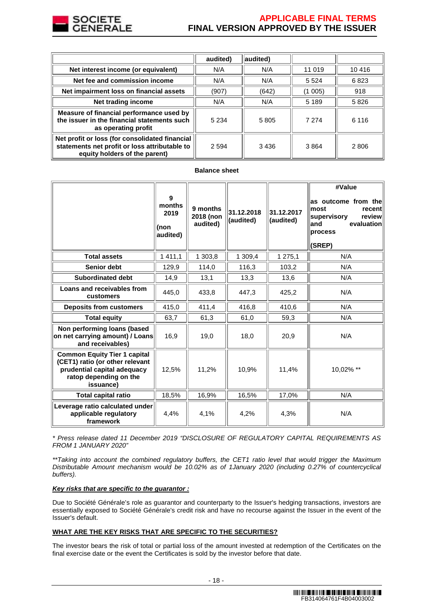

# **APPLICABLE FINAL TERMS FINAL VERSION APPROVED BY THE ISSUER**

|                                                                                                                                  | audited) | audited) |         |         |
|----------------------------------------------------------------------------------------------------------------------------------|----------|----------|---------|---------|
| Net interest income (or equivalent)                                                                                              | N/A      | N/A      | 11 019  | 10 4 16 |
| Net fee and commission income                                                                                                    | N/A      | N/A      | 5 5 2 4 | 6823    |
| Net impairment loss on financial assets                                                                                          | (907)    | (642)    | (1 005) | 918     |
| Net trading income                                                                                                               | N/A      | N/A      | 5 1 8 9 | 5826    |
| Measure of financial performance used by<br>the issuer in the financial statements such<br>as operating profit                   | 5 2 3 4  | 5805     | 7 2 7 4 | 6 1 1 6 |
| Net profit or loss (for consolidated financial<br>statements net profit or loss attributable to<br>equity holders of the parent) | 2 5 9 4  | 3436     | 3864    | 2806    |

# **Balance sheet**

|                                                                                                                                              | 9<br>months<br>2019<br>(non<br>audited) | 9 months<br>2018 (non<br>audited) | 31.12.2018<br>(audited) | 31.12.2017<br>(audited) | #Value<br>as outcome from the<br>most<br>recent<br>supervisory<br>review<br>evaluation<br>and<br>process<br>(SREP) |
|----------------------------------------------------------------------------------------------------------------------------------------------|-----------------------------------------|-----------------------------------|-------------------------|-------------------------|--------------------------------------------------------------------------------------------------------------------|
| <b>Total assets</b>                                                                                                                          | 1 4 1 1 , 1                             | 1 303,8                           | 1 309,4                 | 1 275,1                 | N/A                                                                                                                |
| <b>Senior debt</b>                                                                                                                           | 129,9                                   | 114,0                             | 116,3                   | 103,2                   | N/A                                                                                                                |
| <b>Subordinated debt</b>                                                                                                                     | 14,9                                    | 13,1                              | 13,3                    | 13,6                    | N/A                                                                                                                |
| Loans and receivables from<br>customers                                                                                                      | 445,0                                   | 433.8                             | 447.3                   | 425.2                   | N/A                                                                                                                |
| <b>Deposits from customers</b>                                                                                                               | 415,0                                   | 411,4                             | 416,8                   | 410,6                   | N/A                                                                                                                |
| <b>Total equity</b>                                                                                                                          | 63,7                                    | 61,3                              | 61,0                    | 59,3                    | N/A                                                                                                                |
| Non performing loans (based<br>on net carrying amount) / Loans<br>and receivables)                                                           | 16,9                                    | 19,0                              | 18,0                    | 20,9                    | N/A                                                                                                                |
| <b>Common Equity Tier 1 capital</b><br>(CET1) ratio (or other relevant<br>prudential capital adequacy<br>ratop depending on the<br>issuance) | 12.5%                                   | 11.2%                             | 10.9%                   | 11,4%                   | 10,02% **                                                                                                          |
| <b>Total capital ratio</b>                                                                                                                   | 18,5%                                   | 16,9%                             | 16,5%                   | 17,0%                   | N/A                                                                                                                |
| Leverage ratio calculated under<br>applicable regulatory<br>framework                                                                        | 4,4%                                    | 4,1%                              | 4,2%                    | 4,3%                    | N/A                                                                                                                |

\* Press release dated 11 December 2019 "DISCLOSURE OF REGULATORY CAPITAL REQUIREMENTS AS FROM 1 JANUARY 2020"

\*\*Taking into account the combined regulatory buffers, the CET1 ratio level that would trigger the Maximum Distributable Amount mechanism would be 10.02% as of 1January 2020 (including 0.27% of countercyclical buffers).

# **Key risks that are specific to the guarantor :**

Due to Société Générale's role as guarantor and counterparty to the Issuer's hedging transactions, investors are essentially exposed to Société Générale's credit risk and have no recourse against the Issuer in the event of the Issuer's default.

# **WHAT ARE THE KEY RISKS THAT ARE SPECIFIC TO THE SECURITIES?**

The investor bears the risk of total or partial loss of the amount invested at redemption of the Certificates on the final exercise date or the event the Certificates is sold by the investor before that date.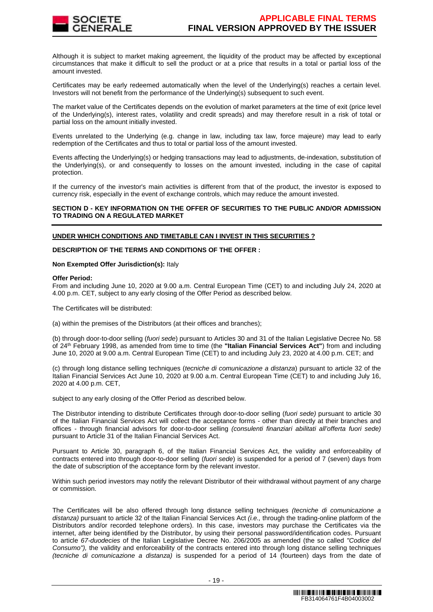

Although it is subject to market making agreement, the liquidity of the product may be affected by exceptional circumstances that make it difficult to sell the product or at a price that results in a total or partial loss of the amount invested.

Certificates may be early redeemed automatically when the level of the Underlying(s) reaches a certain level. Investors will not benefit from the performance of the Underlying(s) subsequent to such event.

The market value of the Certificates depends on the evolution of market parameters at the time of exit (price level of the Underlying(s), interest rates, volatility and credit spreads) and may therefore result in a risk of total or partial loss on the amount initially invested.

Events unrelated to the Underlying (e.g. change in law, including tax law, force majeure) may lead to early redemption of the Certificates and thus to total or partial loss of the amount invested.

Events affecting the Underlying(s) or hedging transactions may lead to adjustments, de-indexation, substitution of the Underlying(s), or and consequently to losses on the amount invested, including in the case of capital protection.

If the currency of the investor's main activities is different from that of the product, the investor is exposed to currency risk, especially in the event of exchange controls, which may reduce the amount invested.

## **SECTION D - KEY INFORMATION ON THE OFFER OF SECURITIES TO THE PUBLIC AND/OR ADMISSION TO TRADING ON A REGULATED MARKET**

# **UNDER WHICH CONDITIONS AND TIMETABLE CAN I INVEST IN THIS SECURITIES ?**

#### **DESCRIPTION OF THE TERMS AND CONDITIONS OF THE OFFER :**

#### **Non Exempted Offer Jurisdiction(s):** Italy

#### **Offer Period:**

From and including June 10, 2020 at 9.00 a.m. Central European Time (CET) to and including July 24, 2020 at 4.00 p.m. CET, subject to any early closing of the Offer Period as described below.

The Certificates will be distributed:

(a) within the premises of the Distributors (at their offices and branches);

(b) through door-to-door selling (fuori sede) pursuant to Articles 30 and 31 of the Italian Legislative Decree No. 58 of 24th February 1998, as amended from time to time (the **"Italian Financial Services Act"**) from and including June 10, 2020 at 9.00 a.m. Central European Time (CET) to and including July 23, 2020 at 4.00 p.m. CET; and

(c) through long distance selling techniques (tecniche di comunicazione a distanza) pursuant to article 32 of the Italian Financial Services Act June 10, 2020 at 9.00 a.m. Central European Time (CET) to and including July 16, 2020 at 4.00 p.m. CET,

subject to any early closing of the Offer Period as described below.

The Distributor intending to distribute Certificates through door-to-door selling (fuori sede) pursuant to article 30 of the Italian Financial Services Act will collect the acceptance forms - other than directly at their branches and offices - through financial advisors for door-to-door selling (consulenti finanziari abilitati all'offerta fuori sede) pursuant to Article 31 of the Italian Financial Services Act.

Pursuant to Article 30, paragraph 6, of the Italian Financial Services Act, the validity and enforceability of contracts entered into through door-to-door selling (fuori sede) is suspended for a period of 7 (seven) days from the date of subscription of the acceptance form by the relevant investor.

Within such period investors may notify the relevant Distributor of their withdrawal without payment of any charge or commission.

The Certificates will be also offered through long distance selling techniques (tecniche di comunicazione a distanza) pursuant to article 32 of the Italian Financial Services Act  $(i.e.,$  through the trading-online platform of the Distributors and/or recorded telephone orders). In this case, investors may purchase the Certificates via the internet, after being identified by the Distributor, by using their personal password/identification codes. Pursuant to article 67-duodecies of the Italian Legislative Decree No. 206/2005 as amended (the so called "Codice del Consumo"), the validity and enforceability of the contracts entered into through long distance selling techniques (tecniche di comunicazione a distanza) is suspended for a period of 14 (fourteen) days from the date of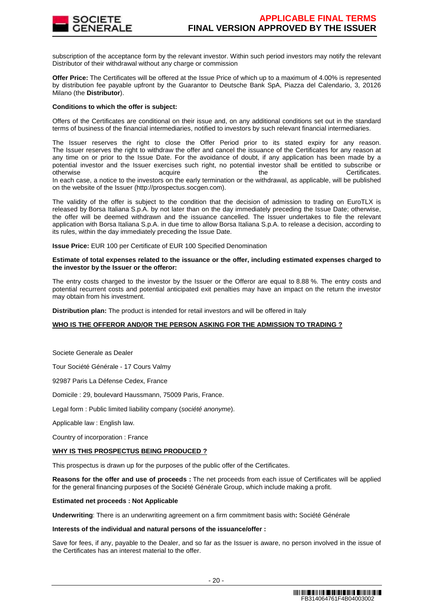

subscription of the acceptance form by the relevant investor. Within such period investors may notify the relevant Distributor of their withdrawal without any charge or commission

**Offer Price:** The Certificates will be offered at the Issue Price of which up to a maximum of 4.00% is represented by distribution fee payable upfront by the Guarantor to Deutsche Bank SpA, Piazza del Calendario, 3, 20126 Milano (the **Distributor**).

## **Conditions to which the offer is subject:**

Offers of the Certificates are conditional on their issue and, on any additional conditions set out in the standard terms of business of the financial intermediaries, notified to investors by such relevant financial intermediaries.

The Issuer reserves the right to close the Offer Period prior to its stated expiry for any reason. The Issuer reserves the right to withdraw the offer and cancel the issuance of the Certificates for any reason at any time on or prior to the Issue Date. For the avoidance of doubt, if any application has been made by a potential investor and the Issuer exercises such right, no potential investor shall be entitled to subscribe or otherwise acquire acquire the the Certificates. In each case, a notice to the investors on the early termination or the withdrawal, as applicable, will be published on the website of the Issuer (http://prospectus.socgen.com).

The validity of the offer is subject to the condition that the decision of admission to trading on EuroTLX is released by Borsa Italiana S.p.A. by not later than on the day immediately preceding the Issue Date; otherwise, the offer will be deemed withdrawn and the issuance cancelled. The Issuer undertakes to file the relevant application with Borsa Italiana S.p.A. in due time to allow Borsa Italiana S.p.A. to release a decision, according to its rules, within the day immediately preceding the Issue Date.

**Issue Price:** EUR 100 per Certificate of EUR 100 Specified Denomination

#### **Estimate of total expenses related to the issuance or the offer, including estimated expenses charged to the investor by the Issuer or the offeror:**

The entry costs charged to the investor by the Issuer or the Offeror are equal to 8.88 %. The entry costs and potential recurrent costs and potential anticipated exit penalties may have an impact on the return the investor may obtain from his investment.

**Distribution plan:** The product is intended for retail investors and will be offered in Italy

# **WHO IS THE OFFEROR AND/OR THE PERSON ASKING FOR THE ADMISSION TO TRADING ?**

Societe Generale as Dealer

Tour Société Générale - 17 Cours Valmy

92987 Paris La Défense Cedex, France

Domicile : 29, boulevard Haussmann, 75009 Paris, France.

Legal form : Public limited liability company (société anonyme).

Applicable law : English law.

Country of incorporation : France

#### **WHY IS THIS PROSPECTUS BEING PRODUCED ?**

This prospectus is drawn up for the purposes of the public offer of the Certificates.

**Reasons for the offer and use of proceeds :** The net proceeds from each issue of Certificates will be applied for the general financing purposes of the Société Générale Group, which include making a profit.

#### **Estimated net proceeds : Not Applicable**

**Underwriting**: There is an underwriting agreement on a firm commitment basis with**:** Société Générale

#### **Interests of the individual and natural persons of the issuance/offer :**

Save for fees, if any, payable to the Dealer, and so far as the Issuer is aware, no person involved in the issue of the Certificates has an interest material to the offer.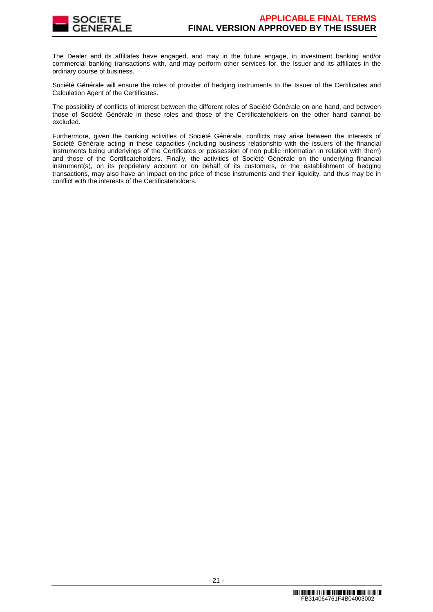

The Dealer and its affiliates have engaged, and may in the future engage, in investment banking and/or commercial banking transactions with, and may perform other services for, the Issuer and its affiliates in the ordinary course of business.

Société Générale will ensure the roles of provider of hedging instruments to the Issuer of the Certificates and Calculation Agent of the Certificates.

The possibility of conflicts of interest between the different roles of Société Générale on one hand, and between those of Société Générale in these roles and those of the Certificateholders on the other hand cannot be excluded.

Furthermore, given the banking activities of Société Générale, conflicts may arise between the interests of Société Générale acting in these capacities (including business relationship with the issuers of the financial instruments being underlyings of the Certificates or possession of non public information in relation with them) and those of the Certificateholders. Finally, the activities of Société Générale on the underlying financial instrument(s), on its proprietary account or on behalf of its customers, or the establishment of hedging transactions, may also have an impact on the price of these instruments and their liquidity, and thus may be in conflict with the interests of the Certificateholders.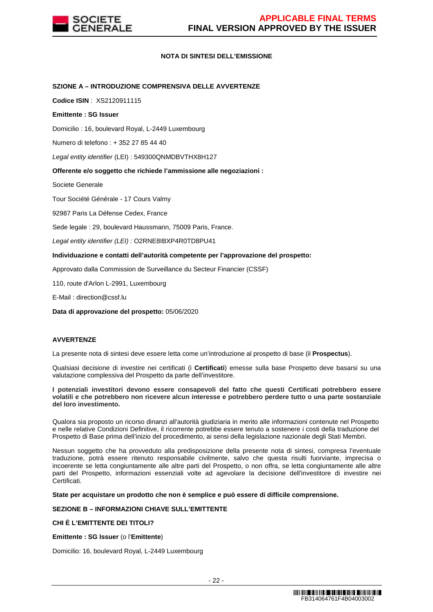

## **NOTA DI SINTESI DELL'EMISSIONE**

# **SZIONE A – INTRODUZIONE COMPRENSIVA DELLE AVVERTENZE**

**Codice ISIN** : XS2120911115

## **Emittente : SG Issuer**

Domicilio : 16, boulevard Royal, L-2449 Luxembourg

Numero di telefono : + 352 27 85 44 40

Legal entity identifier (LEI) : 549300QNMDBVTHX8H127

## **Offerente e/o soggetto che richiede l'ammissione alle negoziazioni :**

Societe Generale

Tour Société Générale - 17 Cours Valmy

92987 Paris La Défense Cedex, France

Sede legale : 29, boulevard Haussmann, 75009 Paris, France.

Legal entity identifier (LEI) : O2RNE8IBXP4R0TD8PU41

## **Individuazione e contatti dell'autorità competente per l'approvazione del prospetto:**

Approvato dalla Commission de Surveillance du Secteur Financier (CSSF)

110, route d'Arlon L-2991, Luxembourg

E-Mail : direction@cssf.lu

**Data di approvazione del prospetto:** 05/06/2020

# **AVVERTENZE**

La presente nota di sintesi deve essere letta come un'introduzione al prospetto di base (il **Prospectus**).

Qualsiasi decisione di investire nei certificati (i **Certificati**) emesse sulla base Prospetto deve basarsi su una valutazione complessiva del Prospetto da parte dell'investitore.

#### **I potenziali investitori devono essere consapevoli del fatto che questi Certificati potrebbero essere volatili e che potrebbero non ricevere alcun interesse e potrebbero perdere tutto o una parte sostanziale del loro investimento.**

Qualora sia proposto un ricorso dinanzi all'autorità giudiziaria in merito alle informazioni contenute nel Prospetto e nelle relative Condizioni Definitive, il ricorrente potrebbe essere tenuto a sostenere i costi della traduzione del Prospetto di Base prima dell'inizio del procedimento, ai sensi della legislazione nazionale degli Stati Membri.

Nessun soggetto che ha provveduto alla predisposizione della presente nota di sintesi, compresa l'eventuale traduzione, potrà essere ritenuto responsabile civilmente, salvo che questa risulti fuorviante, imprecisa o incoerente se letta congiuntamente alle altre parti del Prospetto, o non offra, se letta congiuntamente alle altre parti del Prospetto, informazioni essenziali volte ad agevolare la decisione dell'investitore di investire nei Certificati.

**State per acquistare un prodotto che non è semplice e può essere di difficile comprensione.**

# **SEZIONE B – INFORMAZIONI CHIAVE SULL'EMITTENTE**

# **CHI È L'EMITTENTE DEI TITOLI?**

**Emittente : SG Issuer** (o l'**Emittente**)

Domicilio: 16, boulevard Royal, L-2449 Luxembourg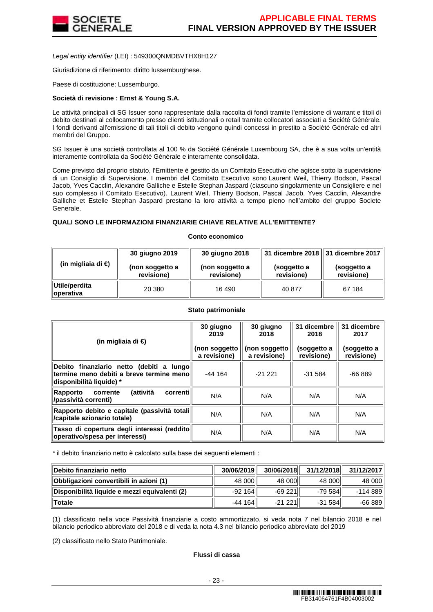

Legal entity identifier (LEI) : 549300QNMDBVTHX8H127

Giurisdizione di riferimento: diritto lussemburghese.

Paese di costituzione: Lussemburgo.

## **Società di revisione : Ernst & Young S.A.**

Le attività principali di SG Issuer sono rappresentate dalla raccolta di fondi tramite l'emissione di warrant e titoli di debito destinati al collocamento presso clienti istituzionali o retail tramite collocatori associati a Société Générale. I fondi derivanti all'emissione di tali titoli di debito vengono quindi concessi in prestito a Société Générale ed altri membri del Gruppo.

SG Issuer è una società controllata al 100 % da Société Générale Luxembourg SA, che è a sua volta un'entità interamente controllata da Société Générale e interamente consolidata.

Come previsto dal proprio statuto, l'Emittente è gestito da un Comitato Esecutivo che agisce sotto la supervisione di un Consiglio di Supervisione. I membri del Comitato Esecutivo sono Laurent Weil, Thierry Bodson, Pascal Jacob, Yves Cacclin, Alexandre Galliche e Estelle Stephan Jaspard (ciascuno singolarmente un Consigliere e nel suo complesso il Comitato Esecutivo). Laurent Weil, Thierry Bodson, Pascal Jacob, Yves Cacclin, Alexandre Galliche et Estelle Stephan Jaspard prestano la loro attività a tempo pieno nell'ambito del gruppo Societe Generale.

# **QUALI SONO LE INFORMAZIONI FINANZIARIE CHIAVE RELATIVE ALL'EMITTENTE?**

#### **Conto economico**

|                                    | 30 giugno 2019                | 30 giugno 2018                |                           | 31 dicembre 2018   31 dicembre 2017 |
|------------------------------------|-------------------------------|-------------------------------|---------------------------|-------------------------------------|
| (in migliaia di €)                 | (non soggetto a<br>revisione) | (non soggetto a<br>revisione) | (soggetto a<br>revisione) | (soggetto a<br>revisione)           |
| Utile/perdita<br><b>∥operativa</b> | 20 380                        | 16 490                        | 40 877                    | 67 184                              |

#### **Stato patrimoniale**

| (in migliaia di €)                                                                                                                  | 30 giugno<br>2019<br>(non soggetto<br>a revisione) | 30 giugno<br>2018<br>(non soggetto<br>a revisione) | 31 dicembre<br>2018<br>(soggetto a<br>revisione) | 31 dicembre<br>2017<br>(soggetto a<br>revisione) |
|-------------------------------------------------------------------------------------------------------------------------------------|----------------------------------------------------|----------------------------------------------------|--------------------------------------------------|--------------------------------------------------|
| Debito finanziario netto (debiti<br>lungo∥<br>$\mathbf{a}$<br>termine meno debiti a breve termine meno<br> disponibilità liquide) * | $-44164$                                           | $-21221$                                           | $-31584$                                         | $-66889$                                         |
| (attività<br>correntil<br>Rapporto<br>corrente<br>/passività correnti)                                                              | N/A                                                | N/A                                                | N/A                                              | N/A                                              |
| Rapporto debito e capitale (passività totali<br>/capitale azionario totale)                                                         | N/A                                                | N/A                                                | N/A                                              | N/A                                              |
| Tasso di copertura degli interessi (reddito<br>operativo/spesa per interessi)                                                       | N/A                                                | N/A                                                | N/A                                              | N/A                                              |

\* il debito finanziario netto è calcolato sulla base dei seguenti elementi :

| ∥Debito finanziario netto                     | 30/06/2019 | 30/06/2018 | 31/12/2018 | 31/12/2017 |
|-----------------------------------------------|------------|------------|------------|------------|
| Obbligazioni convertibili in azioni (1)       | 48 000     | 48 000     | 48 000     | 48 000     |
| Disponibilità liquide e mezzi equivalenti (2) | $-92164$   | -69 221    | $-79584$   | -114 889   |
| ∥Totale                                       | $-44164$   | $-21221$   | $-31584$   | $-66889$   |

(1) classificato nella voce Passività finanziarie a costo ammortizzato, si veda nota 7 nel bilancio 2018 e nel bilancio periodico abbreviato del 2018 e di veda la nota 4.3 nel bilancio periodico abbreviato del 2019

(2) classificato nello Stato Patrimoniale.

# **Flussi di cassa**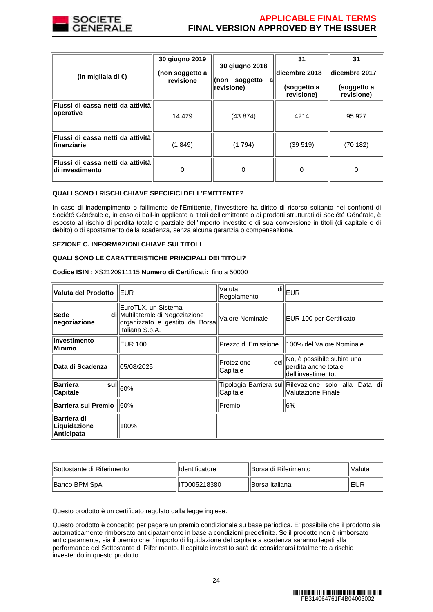

| (in migliaia di €)                                        | 30 giugno 2019<br>(non soggetto a<br>revisione | 30 giugno 2018<br>soggetto<br>(non<br>a<br>revisione) | 31<br>dicembre 2018<br>(soggetto a<br>revisione) | 31<br>dicembre 2017<br>(soggetto a<br>revisione) |
|-----------------------------------------------------------|------------------------------------------------|-------------------------------------------------------|--------------------------------------------------|--------------------------------------------------|
| Flussi di cassa netti da attività<br>operative            | 14 4 29                                        | (43 874)                                              | 4214                                             | 95 927                                           |
| <b>Flussi di cassa netti da attività l</b><br>finanziarie | (1 849)                                        | (1794)                                                | (39519)                                          | (70182)                                          |
| Flussi di cassa netti da attività<br>∣di investimento     | 0                                              | 0                                                     | 0                                                | 0                                                |

## **QUALI SONO I RISCHI CHIAVE SPECIFICI DELL'EMITTENTE?**

In caso di inadempimento o fallimento dell'Emittente, l'investitore ha diritto di ricorso soltanto nei confronti di Société Générale e, in caso di bail-in applicato ai titoli dell'emittente o ai prodotti strutturati di Société Générale, è esposto al rischio di perdita totale o parziale dell'importo investito o di sua conversione in titoli (di capitale o di debito) o di spostamento della scadenza, senza alcuna garanzia o compensazione.

#### **SEZIONE C. INFORMAZIONI CHIAVE SUI TITOLI**

## **QUALI SONO LE CARATTERISTICHE PRINCIPALI DEI TITOLI?**

**Codice ISIN :** XS2120911115 **Numero di Certificati:** fino a 50000

| Valuta del Prodotto                              | IEUR.                                                                                                        | dil<br>Valuta<br>Regolamento   | EUR                                                                          |
|--------------------------------------------------|--------------------------------------------------------------------------------------------------------------|--------------------------------|------------------------------------------------------------------------------|
| Sede<br>negoziazione                             | EuroTLX, un Sistema<br>di Multilaterale di Negoziazione<br>organizzato e gestito da Borsa<br>Italiana S.p.A. | Valore Nominale                | EUR 100 per Certificato                                                      |
| Investimento<br>Minimo                           | <b>EUR 100</b>                                                                                               | Prezzo di Emissione            | 100% del Valore Nominale                                                     |
| Data di Scadenza                                 | 05/08/2025                                                                                                   | dell<br>Protezione<br>Capitale | No, è possibile subire una<br>perdita anche totale<br>dell'investimento.     |
| <b>Barriera</b><br>Capitale                      | $\tilde{  }$ sul $  _{60\%}$                                                                                 | Capitale                       | Tipologia Barriera sul  Rilevazione solo alla Data di <br>Valutazione Finale |
| <b>Barriera sul Premio</b>                       | 60%                                                                                                          | Premio                         | 6%                                                                           |
| Barriera di<br>Liquidazione<br><b>Anticipata</b> | 100%                                                                                                         |                                |                                                                              |

| llSottostante di Riferimento | llIdentificatore | IBorsa di Riferimento | llValuta    |
|------------------------------|------------------|-----------------------|-------------|
| Banco BPM SpA                | IIIT0005218380   | !∣Borsa Italiana      | <b>IEUR</b> |

Questo prodotto è un certificato regolato dalla legge inglese.

Questo prodotto è concepito per pagare un premio condizionale su base periodica. E' possibile che il prodotto sia automaticamente rimborsato anticipatamente in base a condizioni predefinite. Se il prodotto non è rimborsato anticipatamente, sia il premio che l' importo di liquidazione del capitale a scadenza saranno legati alla performance del Sottostante di Riferimento. Il capitale investito sarà da considerarsi totalmente a rischio investendo in questo prodotto.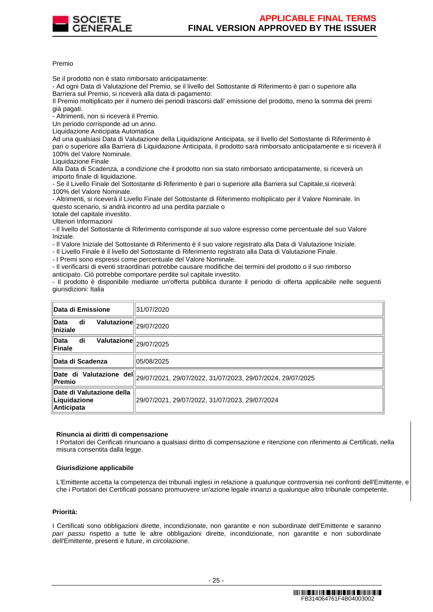

#### Premio

Se il prodotto non è stato rimborsato anticipatamente:

- Ad ogni Data di Valutazione del Premio, se il livello del Sottostante di Riferimento è pari o superiore alla Barriera sul Premio, si riceverà alla data di pagamento:

Il Premio moltiplicato per il numero dei periodi trascorsi dall' emissione del prodotto, meno la somma dei premi già pagati.

- Altrimenti, non si riceverà il Premio.

Un periodo corrisponde ad un anno.

Liquidazione Anticipata Automatica

Ad una qualsiasi Data di Valutazione della Liquidazione Anticipata, se il livello del Sottostante di Riferimento è pari o superiore alla Barriera di Liquidazione Anticipata, il prodotto sarà rimborsato anticipatamente e si riceverà il 100% del Valore Nominale.

Liquidazione Finale

Alla Data di Scadenza, a condizione che il prodotto non sia stato rimborsato anticipatamente, si riceverà un importo finale di liquidazione.

- Se il Livello Finale del Sottostante di Riferimento è pari o superiore alla Barriera sul Capitale,si riceverà: 100% del Valore Nominale.

- Altrimenti, si riceverà il Livello Finale del Sottostante di Riferimento moltiplicato per il Valore Nominale. In questo scenario, si andrà incontro ad una perdita parziale o

totale del capitale investito.

Ulteriori Informazioni

- Il livello del Sottostante di Riferimento corrisponde al suo valore espresso come percentuale del suo Valore Iniziale.

- Il Valore Iniziale del Sottostante di Riferimento è il suo valore registrato alla Data di Valutazione Iniziale.

- Il Livello Finale è il livello del Sottostante di Riferimento registrato alla Data di Valutazione Finale.

- I Premi sono espressi come percentuale del Valore Nominale.

- Il verificarsi di eventi straordinari potrebbe causare modifiche dei termini del prodotto o il suo rimborso anticipato. Ciò potrebbe comportare perdite sul capitale investito.

- Il prodotto è disponibile mediante un'offerta pubblica durante il periodo di offerta applicabile nelle seguenti giurisdizioni: Italia

| Data di Emissione                                                      | 31/07/2020                                                 |
|------------------------------------------------------------------------|------------------------------------------------------------|
| Valutazione 29/07/2020<br>di<br>Data<br>Iniziale                       |                                                            |
| $\overline{\text{Valutazione}}\ _{29/07/2025}$<br>di<br>Data<br>Finale |                                                            |
| Data di Scadenza                                                       | 05/08/2025                                                 |
| Date di Valutazione del<br>Premio                                      | 29/07/2021, 29/07/2022, 31/07/2023, 29/07/2024, 29/07/2025 |
| Date di Valutazione della<br>Liquidazione<br><b>Anticipata</b>         | 29/07/2021, 29/07/2022, 31/07/2023, 29/07/2024             |

#### **Rinuncia ai diritti di compensazione**

I Portatori dei Cerificati rinunciano a qualsiasi diritto di compensazione e ritenzione con riferimento ai Certificati, nella misura consentita dalla legge.

#### **Giurisdizione applicabile**

L'Emittente accetta la competenza dei tribunali inglesi in relazione a qualunque controversia nei confronti dell'Emittente, e che i Portatori dei Certificati possano promuovere un'azione legale innanzi a qualunque altro tribunale competente.

#### **Priorità:**

I Certificati sono obbligazioni dirette, incondizionate, non garantite e non subordinate dell'Emittente e saranno pari passu rispetto a tutte le altre obbligazioni dirette, incondizionate, non garantite e non subordinate dell'Emittente, presenti e future, in circolazione.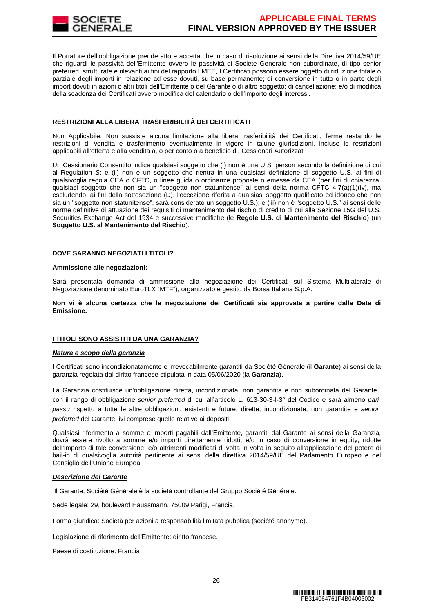

Il Portatore dell'obbligazione prende atto e accetta che in caso di risoluzione ai sensi della Direttiva 2014/59/UE che riguardi le passività dell'Emittente ovvero le passività di Societe Generale non subordinate, di tipo senior preferred, strutturate e rilevanti ai fini del rapporto LMEE, I Certificati possono essere oggetto di riduzione totale o parziale degli importi in relazione ad esse dovuti, su base permanente; di conversione in tutto o in parte degli import dovuti in azioni o altri titoli dell'Emittente o del Garante o di altro soggetto; di cancellazione; e/o di modifica della scadenza dei Certificati ovvero modifica del calendario o dell'importo degli interessi.

## **RESTRIZIONI ALLA LIBERA TRASFERIBILITÀ DEI CERTIFICATI**

Non Applicabile. Non sussiste alcuna limitazione alla libera trasferibilità dei Certificati, ferme restando le restrizioni di vendita e trasferimento eventualmente in vigore in talune giurisdizioni, incluse le restrizioni applicabili all'offerta e alla vendita a, o per conto o a beneficio di, Cessionari Autorizzati

Un Cessionario Consentito indica qualsiasi soggetto che (i) non è una U.S. person secondo la definizione di cui al Regulation S; e (ii) non è un soggetto che rientra in una qualsiasi definizione di soggetto U.S. ai fini di qualsivoglia regola CEA o CFTC, o linee guida o ordinanze proposte o emesse da CEA (per fini di chiarezza, qualsiasi soggetto che non sia un "soggetto non statunitense" ai sensi della norma CFTC 4.7(a)(1)(iv), ma escludendo, ai fini della sottosezione (D), l'eccezione riferita a qualsiasi soggetto qualificato ed idoneo che non sia un "soggetto non statunitense", sarà considerato un soggetto U.S.); e (iii) non è "soggetto U.S." ai sensi delle norme definitive di attuazione dei requisiti di mantenimento del rischio di credito di cui alla Sezione 15G del U.S. Securities Exchange Act del 1934 e successive modifiche (le **Regole U.S. di Mantenimento del Rischio**) (un **Soggetto U.S. al Mantenimento del Rischio**).

# **DOVE SARANNO NEGOZIATI I TITOLI?**

#### **Ammissione alle negoziazioni:**

Sarà presentata domanda di ammissione alla negoziazione dei Certificati sul Sistema Multilaterale di Negoziazione denominato EuroTLX "MTF"), organizzato e gestito da Borsa Italiana S.p.A.

**Non vi è alcuna certezza che la negoziazione dei Certificati sia approvata a partire dalla Data di Emissione.**

# **I TITOLI SONO ASSISTITI DA UNA GARANZIA?**

#### **Natura e scopo della garanzia**

I Certificati sono incondizionatamente e irrevocabilmente garantiti da Société Générale (il **Garante**) ai sensi della garanzia regolata dal diritto francese stipulata in data 05/06/2020 (la **Garanzia**).

La Garanzia costituisce un'obbligazione diretta, incondizionata, non garantita e non subordinata del Garante, con il rango di obbligazione senior preferred di cui all'articolo L. 613-30-3-I-3° del Codice e sarà almeno pari passu rispetto a tutte le altre obbligazioni, esistenti e future, dirette, incondizionate, non garantite e senior preferred del Garante, ivi comprese quelle relative ai depositi.

Qualsiasi riferimento a somme o importi pagabili dall'Emittente, garantiti dal Garante ai sensi della Garanzia, dovrà essere rivolto a somme e/o importi direttamente ridotti, e/o in caso di conversione in equity, ridotte dell'importo di tale conversione, e/o altrimenti modificati di volta in volta in seguito all'applicazione del potere di bail-in di qualsivoglia autorità pertinente ai sensi della direttiva 2014/59/UE del Parlamento Europeo e del Consiglio dell'Unione Europea.

#### **Descrizione del Garante**

Il Garante, Société Générale è la società controllante del Gruppo Société Générale.

Sede legale: 29, boulevard Haussmann, 75009 Parigi, Francia.

Forma giuridica: Società per azioni a responsabilità limitata pubblica (société anonyme).

Legislazione di riferimento dell'Emittente: diritto francese.

Paese di costituzione: Francia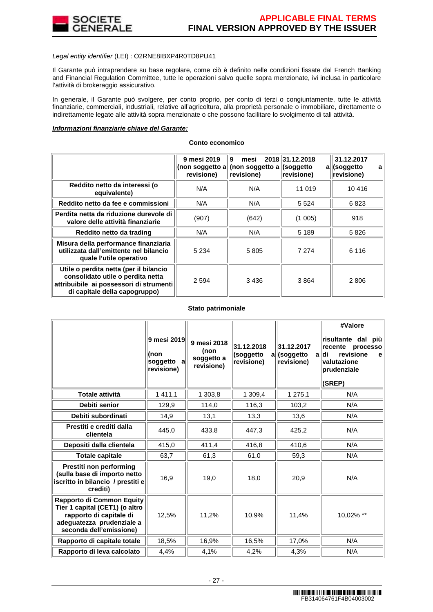

# Legal entity identifier (LEI) : O2RNE8IBXP4R0TD8PU41

Il Garante può intraprendere su base regolare, come ciò è definito nelle condizioni fissate dal French Banking and Financial Regulation Committee, tutte le operazioni salvo quelle sopra menzionate, ivi inclusa in particolare l'attività di brokeraggio assicurativo.

In generale, il Garante può svolgere, per conto proprio, per conto di terzi o congiuntamente, tutte le attività finanziarie, commerciali, industriali, relative all'agricoltura, alla proprietà personale o immobiliare, direttamente o indirettamente legate alle attività sopra menzionate o che possono facilitare lo svolgimento di tali attività.

#### **Informazioni finanziarie chiave del Garante:**

|                                                                                                                                                         | 9 mesi 2019<br>revisione) | 19<br>mesi<br>(non soggetto a  (non soggetto a  (soggetto<br>revisione) | 2018 31.12.2018<br>revisione) | 31.12.2017<br>all(soggetto<br>a<br>revisione) |
|---------------------------------------------------------------------------------------------------------------------------------------------------------|---------------------------|-------------------------------------------------------------------------|-------------------------------|-----------------------------------------------|
| Reddito netto da interessi (o<br>equivalente)                                                                                                           | N/A                       | N/A                                                                     | 11 019                        | 10 416                                        |
| Reddito netto da fee e commissioni                                                                                                                      | N/A                       | N/A                                                                     | 5 5 2 4                       | 6823                                          |
| Perdita netta da riduzione durevole di<br>valore delle attività finanziarie                                                                             | (907)                     | (642)                                                                   | (1005)                        | 918                                           |
| Reddito netto da trading                                                                                                                                | N/A                       | N/A                                                                     | 5 1 8 9                       | 5826                                          |
| Misura della performance finanziaria<br>utilizzata dall'emittente nel bilancio<br>quale l'utile operativo                                               | 5 2 3 4                   | 5805                                                                    | 7 2 7 4                       | 6 1 1 6                                       |
| Utile o perdita netta (per il bilancio<br>consolidato utile o perdita netta<br>attribuibile ai possessori di strumenti<br>di capitale della capogruppo) | 2 5 9 4                   | 3436                                                                    | 3864                          | 2 8 0 6                                       |

#### **Conto economico**

# **Stato patrimoniale**

|                                                                                                                                                | 9 mesi 2019<br>(non<br>soggetto<br>al<br>revisione) | 9 mesi 2018<br>(non<br>soggetto a<br>revisione) | 31.12.2018<br>(soggetto<br>a<br>revisione) | 31.12.2017<br>∥(soqqetto<br>a<br>revisione) | #Valore<br>∣risultante dal<br>più<br>recente<br>processo<br>revisione<br>ldi<br>el<br>valutazione<br>prudenziale<br>(SREP) |
|------------------------------------------------------------------------------------------------------------------------------------------------|-----------------------------------------------------|-------------------------------------------------|--------------------------------------------|---------------------------------------------|----------------------------------------------------------------------------------------------------------------------------|
| <b>Totale attività</b>                                                                                                                         | 1 411,1                                             | 1 303,8                                         | 1 309,4                                    | 1 275,1                                     | N/A                                                                                                                        |
| Debiti senior                                                                                                                                  | 129,9                                               | 114,0                                           | 116,3                                      | 103,2                                       | N/A                                                                                                                        |
| Debiti subordinati                                                                                                                             | 14,9                                                | 13,1                                            | 13,3                                       | 13,6                                        | N/A                                                                                                                        |
| Prestiti e crediti dalla<br>clientela                                                                                                          | 445,0                                               | 433,8                                           | 447,3                                      | 425,2                                       | N/A                                                                                                                        |
| Depositi dalla clientela                                                                                                                       | 415,0                                               | 411,4                                           | 416,8                                      | 410,6                                       | N/A                                                                                                                        |
| <b>Totale capitale</b>                                                                                                                         | 63,7                                                | 61,3                                            | 61,0                                       | 59,3                                        | N/A                                                                                                                        |
| Prestiti non performing<br>(sulla base di importo netto<br>iscritto in bilancio / prestiti e<br>crediti)                                       | 16,9                                                | 19,0                                            | 18,0                                       | 20,9                                        | N/A                                                                                                                        |
| Rapporto di Common Equity<br>Tier 1 capital (CET1) (o altro<br>rapporto di capitale di<br>adeguatezza prudenziale a<br>seconda dell'emissione) | 12,5%                                               | 11,2%                                           | 10.9%                                      | 11,4%                                       | 10,02% **                                                                                                                  |
| Rapporto di capitale totale                                                                                                                    | 18,5%                                               | 16,9%                                           | 16,5%                                      | 17,0%                                       | N/A                                                                                                                        |
| Rapporto di leva calcolato                                                                                                                     | 4,4%                                                | 4,1%                                            | 4,2%                                       | 4,3%                                        | N/A                                                                                                                        |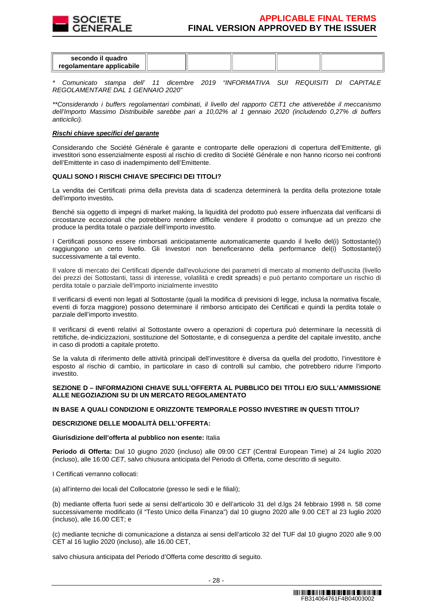

| secondo il quadro<br>regolamentare applicabile |  |  |  |
|------------------------------------------------|--|--|--|
|                                                |  |  |  |

Comunicato stampa dell' 11 dicembre 2019 "INFORMATIVA SUI REQUISITI DI CAPITALE REGOLAMENTARE DAL 1 GENNAIO 2020"

\*\*Considerando i buffers regolamentari combinati, il livello del rapporto CET1 che attiverebbe il meccanismo dell'Importo Massimo Distribuibile sarebbe pari a 10,02% al 1 gennaio 2020 (includendo 0,27% di buffers anticiclici).

#### **Rischi chiave specifici del garante**

Considerando che Société Générale è garante e controparte delle operazioni di copertura dell'Emittente, gli investitori sono essenzialmente esposti al rischio di credito di Société Générale e non hanno ricorso nei confronti dell'Emittente in caso di inadempimento dell'Emittente.

#### **QUALI SONO I RISCHI CHIAVE SPECIFICI DEI TITOLI?**

La vendita dei Certificati prima della prevista data di scadenza determinerà la perdita della protezione totale dell'importo investito**.**

Benché sia oggetto di impegni di market making, la liquidità del prodotto può essere influenzata dal verificarsi di circostanze eccezionali che potrebbero rendere difficile vendere il prodotto o comunque ad un prezzo che produce la perdita totale o parziale dell'importo investito.

I Certificati possono essere rimborsati anticipatamente automaticamente quando il livello del(i) Sottostante(i) raggiungono un certo livello. Gli Investori non beneficeranno della performance del(i) Sottostante(i) successivamente a tal evento.

Il valore di mercato dei Certificati dipende dall'evoluzione dei parametri di mercato al momento dell'uscita (livello dei prezzi dei Sottostanti, tassi di interesse, volatilità e credit spreads) e può pertanto comportare un rischio di perdita totale o parziale dell'importo inizialmente investito

Il verificarsi di eventi non legati al Sottostante (quali la modifica di previsioni di legge, inclusa la normativa fiscale, eventi di forza maggiore) possono determinare il rimborso anticipato dei Certificati e quindi la perdita totale o parziale dell'importo investito.

Il verificarsi di eventi relativi al Sottostante ovvero a operazioni di copertura può determinare la necessità di rettifiche, de-indicizzazioni, sostituzione del Sottostante, e di conseguenza a perdite del capitale investito, anche in caso di prodotti a capitale protetto.

Se la valuta di riferimento delle attività principali dell'investitore è diversa da quella del prodotto, l'investitore è esposto al rischio di cambio, in particolare in caso di controlli sul cambio, che potrebbero ridurre l'importo investito.

## **SEZIONE D – INFORMAZIONI CHIAVE SULL'OFFERTA AL PUBBLICO DEI TITOLI E/O SULL'AMMISSIONE ALLE NEGOZIAZIONI SU DI UN MERCATO REGOLAMENTATO**

### **IN BASE A QUALI CONDIZIONI E ORIZZONTE TEMPORALE POSSO INVESTIRE IN QUESTI TITOLI?**

#### **DESCRIZIONE DELLE MODALITÀ DELL'OFFERTA:**

#### **Giurisdizione dell'offerta al pubblico non esente:** Italia

**Periodo di Offerta:** Dal 10 giugno 2020 (incluso) alle 09:00 CET (Central European Time) al 24 luglio 2020 (incluso), alle 16:00 CET, salvo chiusura anticipata del Periodo di Offerta, come descritto di seguito.

I Certificati verranno collocati:

(a) all'interno dei locali del Collocatorie (presso le sedi e le filiali);

(b) mediante offerta fuori sede ai sensi dell'articolo 30 e dell'articolo 31 del d.lgs 24 febbraio 1998 n. 58 come successivamente modificato (il "Testo Unico della Finanza") dal 10 giugno 2020 alle 9.00 CET al 23 luglio 2020 (incluso), alle 16.00 CET; e

(c) mediante tecniche di comunicazione a distanza ai sensi dell'articolo 32 del TUF dal 10 giugno 2020 alle 9.00 CET al 16 luglio 2020 (incluso), alle 16.00 CET,

salvo chiusura anticipata del Periodo d'Offerta come descritto di seguito.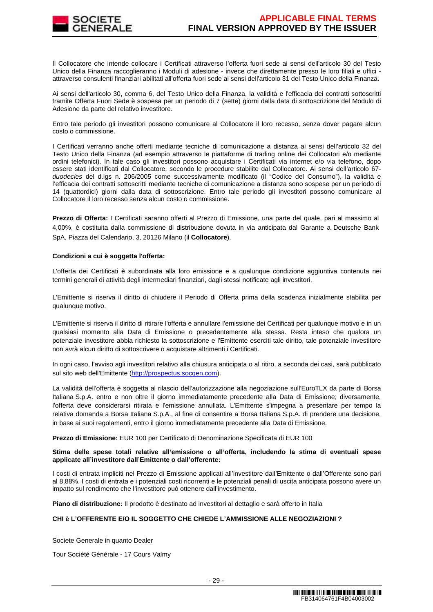

Il Collocatore che intende collocare i Certificati attraverso l'offerta fuori sede ai sensi dell'articolo 30 del Testo Unico della Finanza raccoglieranno i Moduli di adesione - invece che direttamente presso le loro filiali e uffici attraverso consulenti finanziari abilitati all'offerta fuori sede ai sensi dell'articolo 31 del Testo Unico della Finanza.

Ai sensi dell'articolo 30, comma 6, del Testo Unico della Finanza, la validità e l'efficacia dei contratti sottoscritti tramite Offerta Fuori Sede è sospesa per un periodo di 7 (sette) giorni dalla data di sottoscrizione del Modulo di Adesione da parte del relativo investitore.

Entro tale periodo gli investitori possono comunicare al Collocatore il loro recesso, senza dover pagare alcun costo o commissione.

I Certificati verranno anche offerti mediante tecniche di comunicazione a distanza ai sensi dell'articolo 32 del Testo Unico della Finanza (ad esempio attraverso le piattaforme di trading online dei Collocatori e/o mediante ordini telefonici). In tale caso gli investitori possono acquistare i Certificati via internet e/o via telefono, dopo essere stati identificati dal Collocatore, secondo le procedure stabilite dal Collocatore. Ai sensi dell'articolo 67 duodecies del d.lgs n. 206/2005 come successivamente modificato (il "Codice del Consumo"), la validità e l'efficacia dei contratti sottoscritti mediante tecniche di comunicazione a distanza sono sospese per un periodo di 14 (quattordici) giorni dalla data di sottoscrizione. Entro tale periodo gli investitori possono comunicare al Collocatore il loro recesso senza alcun costo o commissione.

**Prezzo di Offerta:** I Certificati saranno offerti al Prezzo di Emissione, una parte del quale, pari al massimo al 4,00%, è costituita dalla commissione di distribuzione dovuta in via anticipata dal Garante a Deutsche Bank SpA, Piazza del Calendario, 3, 20126 Milano (il **Collocatore**).

## **Condizioni a cui è soggetta l'offerta:**

L'offerta dei Certificati è subordinata alla loro emissione e a qualunque condizione aggiuntiva contenuta nei termini generali di attività degli intermediari finanziari, dagli stessi notificate agli investitori.

L'Emittente si riserva il diritto di chiudere il Periodo di Offerta prima della scadenza inizialmente stabilita per qualunque motivo.

L'Emittente si riserva il diritto di ritirare l'offerta e annullare l'emissione dei Certificati per qualunque motivo e in un qualsiasi momento alla Data di Emissione o precedentemente alla stessa. Resta inteso che qualora un potenziale investitore abbia richiesto la sottoscrizione e l'Emittente eserciti tale diritto, tale potenziale investitore non avrà alcun diritto di sottoscrivere o acquistare altrimenti i Certificati.

In ogni caso, l'avviso agli investitori relativo alla chiusura anticipata o al ritiro, a seconda dei casi, sarà pubblicato sul sito web dell'Emittente (http://prospectus.socgen.com).

La validità dell'offerta è soggetta al rilascio dell'autorizzazione alla negoziazione sull'EuroTLX da parte di Borsa Italiana S.p.A. entro e non oltre il giorno immediatamente precedente alla Data di Emissione; diversamente, l'offerta deve considerarsi ritirata e l'emissione annullata. L'Emittente s'impegna a presentare per tempo la relativa domanda a Borsa Italiana S.p.A., al fine di consentire a Borsa Italiana S.p.A. di prendere una decisione, in base ai suoi regolamenti, entro il giorno immediatamente precedente alla Data di Emissione.

**Prezzo di Emissione:** EUR 100 per Certificato di Denominazione Specificata di EUR 100

#### **Stima delle spese totali relative all'emissione o all'offerta, includendo la stima di eventuali spese applicate all'investitore dall'Emittente o dall'offerente:**

I costi di entrata impliciti nel Prezzo di Emissione applicati all'investitore dall'Emittente o dall'Offerente sono pari al 8,88%. I costi di entrata e i potenziali costi ricorrenti e le potenziali penali di uscita anticipata possono avere un impatto sul rendimento che l'investitore può ottenere dall'investimento.

**Piano di distribuzione:** Il prodotto è destinato ad investitori al dettaglio e sarà offerto in Italia

# **CHI è L'OFFERENTE E/O IL SOGGETTO CHE CHIEDE L'AMMISSIONE ALLE NEGOZIAZIONI ?**

Societe Generale in quanto Dealer

Tour Société Générale - 17 Cours Valmy